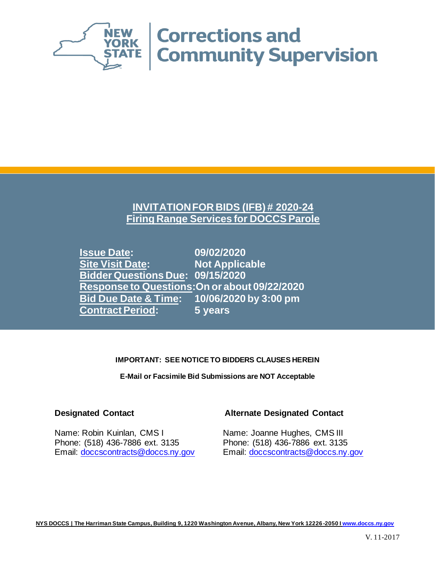

### **INVITATION FOR BIDS (IFB) # 2020-24 Firing Range Services for DOCCS Parole**

**Issue Date: 09/02/2020 Site Visit Date: Not Applicable Bidder Questions Due: 09/15/2020 Response to Questions:On or about 09/22/2020 Bid Due Date & Time: 10/06/2020 by 3:00 pm Contract Period: 5 years**

### **IMPORTANT: SEE NOTICE TO BIDDERS CLAUSES HEREIN**

**E-Mail or Facsimile Bid Submissions are NOT Acceptable**

Name: Robin Kuinlan, CMS I Name: Joanne Hughes, CMS III Phone: (518) 436-7886 ext. 3135 Phone: (518) 436-7886 ext. 3135 Email: [doccscontracts@doccs.ny.gov](mailto:doccscontracts@doccs.ny.gov) Email: [doccscontracts@doccs.ny.gov](mailto:doccscontracts@doccs.ny.gov)

### **Designated Contact Alternate Designated Contact**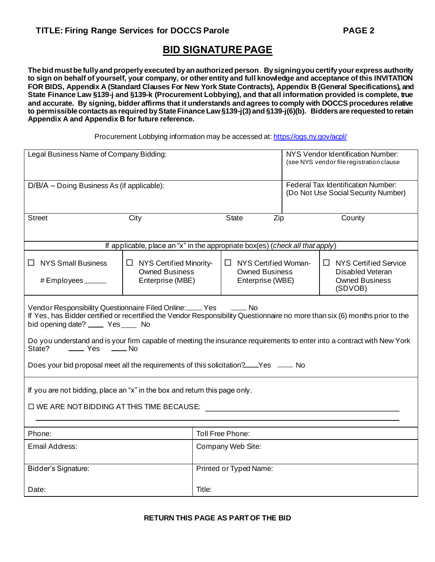### **BID SIGNATURE PAGE**

**The bid must be fully and properly executed by an authorized person**. **By signing you certify your express authority to sign on behalf of yourself, your company, or other entity and full knowledge and acceptance of this INVITATION FOR BIDS, Appendix A (Standard Clauses For New York State Contracts), Appendix B (General Specifications), and State Finance Law §139-j and §139-k (Procurement Lobbying), and that all information provided is complete, true and accurate. By signing, bidder affirms that it understands and agrees to comply with DOCCS procedures relative to permissible contacts as required by State Finance Law §139-j(3) and §139-j(6)(b). Bidders are requested to retain Appendix A and Appendix B for future reference.**

Procurement Lobbying information may be accessed at: <https://ogs.ny.gov/acpl/>

| Legal Business Name of Company Bidding:                                                                                                                                                                                                                                                                                                                                                                                                                                                                                                         |                                                                               |                                                                                             | NYS Vendor Identification Number:<br>(see NYS vendor file registration clause    |     |  |        |
|-------------------------------------------------------------------------------------------------------------------------------------------------------------------------------------------------------------------------------------------------------------------------------------------------------------------------------------------------------------------------------------------------------------------------------------------------------------------------------------------------------------------------------------------------|-------------------------------------------------------------------------------|---------------------------------------------------------------------------------------------|----------------------------------------------------------------------------------|-----|--|--------|
| D/B/A – Doing Business As (if applicable):                                                                                                                                                                                                                                                                                                                                                                                                                                                                                                      |                                                                               |                                                                                             | <b>Federal Tax Identification Number:</b><br>(Do Not Use Social Security Number) |     |  |        |
| <b>Street</b>                                                                                                                                                                                                                                                                                                                                                                                                                                                                                                                                   | City                                                                          |                                                                                             | <b>State</b>                                                                     | Zip |  | County |
|                                                                                                                                                                                                                                                                                                                                                                                                                                                                                                                                                 | If applicable, place an "x" in the appropriate box(es) (check all that apply) |                                                                                             |                                                                                  |     |  |        |
| $\Box$ NYS Small Business<br>$\Box$ NYS Certified Woman-<br>$\Box$ NYS Certified Minority-<br><b>Owned Business</b><br><b>Owned Business</b><br>Enterprise (MBE)<br>Enterprise (WBE)<br># Employees ______                                                                                                                                                                                                                                                                                                                                      |                                                                               | $\Box$ NYS Certified Service<br><b>Disabled Veteran</b><br><b>Owned Business</b><br>(SDVOB) |                                                                                  |     |  |        |
| Vendor Responsibility Questionnaire Filed Online: Yes<br>Vendor Responsibility Questionnaire Filed Online: Ves <sub>10</sub><br>If Yes, has Bidder certified or recertified the Vendor Responsibility Questionnaire no more than six (6) months prior to the<br>bid opening date? _____ Yes____ No<br>Do you understand and is your firm capable of meeting the insurance requirements to enter into a contract with New York<br>State?<br>—— Yes —— No<br>Does your bid proposal meet all the requirements of this solicitation?___Yes ____ No |                                                                               |                                                                                             |                                                                                  |     |  |        |
| If you are not bidding, place an "x" in the box and return this page only.<br>$\square$ WE ARE NOT BIDDING AT THIS TIME BECAUSE:                                                                                                                                                                                                                                                                                                                                                                                                                |                                                                               |                                                                                             |                                                                                  |     |  |        |
| Phone:                                                                                                                                                                                                                                                                                                                                                                                                                                                                                                                                          | Toll Free Phone:                                                              |                                                                                             |                                                                                  |     |  |        |
| Email Address:                                                                                                                                                                                                                                                                                                                                                                                                                                                                                                                                  |                                                                               | Company Web Site:                                                                           |                                                                                  |     |  |        |
| Bidder's Signature:                                                                                                                                                                                                                                                                                                                                                                                                                                                                                                                             | Printed or Typed Name:                                                        |                                                                                             |                                                                                  |     |  |        |
| Title:<br>Date:                                                                                                                                                                                                                                                                                                                                                                                                                                                                                                                                 |                                                                               |                                                                                             |                                                                                  |     |  |        |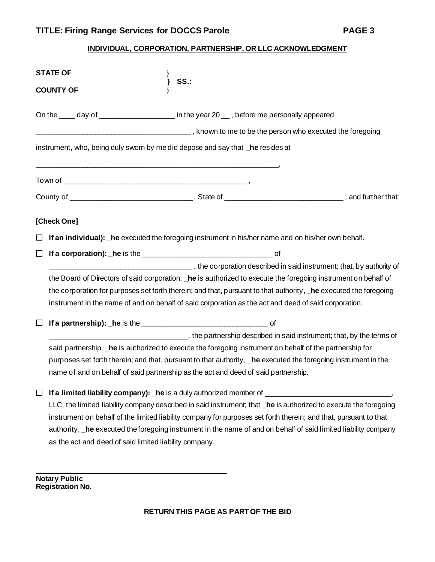### **INDIVIDUAL, CORPORATION, PARTNERSHIP, OR LLC ACKNOWLEDGMENT**

|        | <b>STATE OF</b>                                                                                                                                                                                                                                                                                                                                                                                                                                                                                                                                                                                                                                                                                                                                                                                             |
|--------|-------------------------------------------------------------------------------------------------------------------------------------------------------------------------------------------------------------------------------------------------------------------------------------------------------------------------------------------------------------------------------------------------------------------------------------------------------------------------------------------------------------------------------------------------------------------------------------------------------------------------------------------------------------------------------------------------------------------------------------------------------------------------------------------------------------|
|        | SS.<br><b>COUNTY OF</b>                                                                                                                                                                                                                                                                                                                                                                                                                                                                                                                                                                                                                                                                                                                                                                                     |
|        | On the _____ day of _______________________ in the year 20 ___, before me personally appeared                                                                                                                                                                                                                                                                                                                                                                                                                                                                                                                                                                                                                                                                                                               |
|        |                                                                                                                                                                                                                                                                                                                                                                                                                                                                                                                                                                                                                                                                                                                                                                                                             |
|        | instrument, who, being duly sworn by me did depose and say that _he resides at                                                                                                                                                                                                                                                                                                                                                                                                                                                                                                                                                                                                                                                                                                                              |
|        |                                                                                                                                                                                                                                                                                                                                                                                                                                                                                                                                                                                                                                                                                                                                                                                                             |
|        |                                                                                                                                                                                                                                                                                                                                                                                                                                                                                                                                                                                                                                                                                                                                                                                                             |
|        | [Check One]                                                                                                                                                                                                                                                                                                                                                                                                                                                                                                                                                                                                                                                                                                                                                                                                 |
| ⊔      | If an individual): he executed the foregoing instrument in his/her name and on his/her own behalf.                                                                                                                                                                                                                                                                                                                                                                                                                                                                                                                                                                                                                                                                                                          |
|        |                                                                                                                                                                                                                                                                                                                                                                                                                                                                                                                                                                                                                                                                                                                                                                                                             |
|        | example and in said instrument; that, by authority of<br>the Board of Directors of said corporation, _he is authorized to execute the foregoing instrument on behalf of<br>the corporation for purposes set forth therein; and that, pursuant to that authority, he executed the foregoing<br>instrument in the name of and on behalf of said corporation as the act and deed of said corporation.                                                                                                                                                                                                                                                                                                                                                                                                          |
| ⊔      |                                                                                                                                                                                                                                                                                                                                                                                                                                                                                                                                                                                                                                                                                                                                                                                                             |
| $\Box$ | the partnership described in said instrument; that, by the terms of<br>said partnership, he is authorized to execute the foregoing instrument on behalf of the partnership for<br>purposes set forth therein; and that, pursuant to that authority, _he executed the foregoing instrument in the<br>name of and on behalf of said partnership as the act and deed of said partnership.<br>LLC, the limited liability company described in said instrument; that _he is authorized to execute the foregoing<br>instrument on behalf of the limited liability company for purposes set forth therein; and that, pursuant to that<br>authority, _he executed the foregoing instrument in the name of and on behalf of said limited liability company<br>as the act and deed of said limited liability company. |

**Notary Public Registration No.**

 $\mathcal{L}_\text{max}$  and  $\mathcal{L}_\text{max}$  and  $\mathcal{L}_\text{max}$  and  $\mathcal{L}_\text{max}$  and  $\mathcal{L}_\text{max}$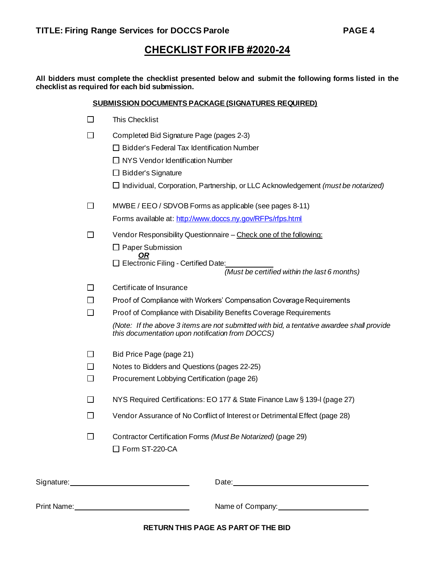### **CHECKLIST FOR IFB #2020-24**

**All bidders must complete the checklist presented below and submit the following forms listed in the checklist as required for each bid submission.**

| <b>SUBMISSION DOCUMENTS PACKAGE (SIGNATURES REQUIRED)</b> |  |
|-----------------------------------------------------------|--|
|                                                           |  |

| П                        | <b>This Checklist</b>                                                                                                                         |
|--------------------------|-----------------------------------------------------------------------------------------------------------------------------------------------|
| $\Box$                   | Completed Bid Signature Page (pages 2-3)                                                                                                      |
|                          | $\Box$ Bidder's Federal Tax Identification Number                                                                                             |
|                          | $\Box$ NYS Vendor Identification Number                                                                                                       |
|                          | $\Box$ Bidder's Signature                                                                                                                     |
|                          | $\Box$ Individual, Corporation, Partnership, or LLC Acknowledgement <i>(must be notarized)</i>                                                |
| $\Box$                   | MWBE / EEO / SDVOB Forms as applicable (see pages 8-11)                                                                                       |
|                          | Forms available at: http://www.doccs.ny.gov/RFPs/rfps.html                                                                                    |
| □                        | Vendor Responsibility Questionnaire - Check one of the following:                                                                             |
|                          | $\Box$ Paper Submission                                                                                                                       |
|                          | OR<br>$\Box$ Electronic Filing - Certified Date:<br>(Must be certified within the last 6 months)                                              |
| П                        | Certificate of Insurance                                                                                                                      |
| П                        | Proof of Compliance with Workers' Compensation Coverage Requirements                                                                          |
| П                        | Proof of Compliance with Disability Benefits Coverage Requirements                                                                            |
|                          | (Note: If the above 3 items are not submitted with bid, a tentative awardee shall provide<br>this documentation upon notification from DOCCS) |
| $\overline{\phantom{a}}$ | Bid Price Page (page 21)                                                                                                                      |
| П                        | Notes to Bidders and Questions (pages 22-25)                                                                                                  |
| $\Box$                   | Procurement Lobbying Certification (page 26)                                                                                                  |
| $\Box$                   | NYS Required Certifications: EO 177 & State Finance Law § 139-I (page 27)                                                                     |
| $\Box$                   | Vendor Assurance of No Conflict of Interest or Detrimental Effect (page 28)                                                                   |
| $\Box$                   | Contractor Certification Forms (Must Be Notarized) (page 29)<br>□ Form ST-220-CA                                                              |
|                          | Date: Date:                                                                                                                                   |
|                          |                                                                                                                                               |

Print Name: <u>Name:</u> Name of Company: Name of Company: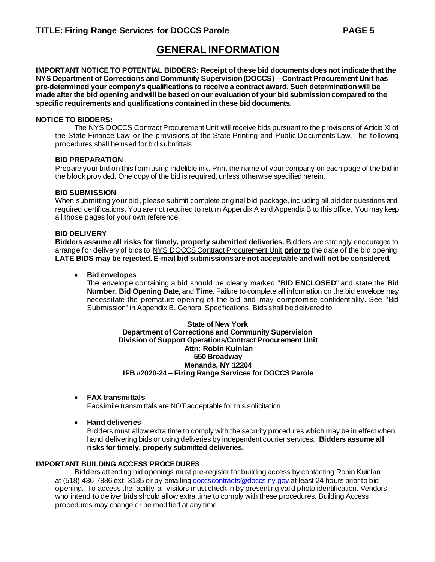## **GENERAL INFORMATION**

**IMPORTANT NOTICE TO POTENTIAL BIDDERS: Receipt of these bid documents does not indicate that the NYS Department of Corrections and Community Supervision (DOCCS) – Contract Procurement Unit has pre-determined your company's qualifications to receive a contract award. Such determination will be made after the bid opening and will be based on our evaluation of your bid submission compared to the specific requirements and qualifications contained in these bid documents.**

#### **NOTICE TO BIDDERS:**

The NYS DOCCS Contract Procurement Unit will receive bids pursuant to the provisions of Article XI of the State Finance Law or the provisions of the State Printing and Public Documents Law. The following procedures shall be used for bid submittals:

#### **BID PREPARATION**

Prepare your bid on this form using indelible ink. Print the name of your company on each page of the bid in the block provided. One copy of the bid is required, unless otherwise specified herein.

#### **BID SUBMISSION**

When submitting your bid, please submit complete original bid package, including all bidder questions and required certifications. You are not required to return Appendix A and Appendix B to this office. You may keep all those pages for your own reference.

#### **BID DELIVERY**

**Bidders assume all risks for timely, properly submitted deliveries.** Bidders are strongly encouraged to arrange for delivery of bids to NYS DOCCS Contract Procurement Unit **prior to** the date of the bid opening. **LATE BIDS may be rejected. E-mail bid submissions are not acceptable and will not be considered.**

#### • **Bid envelopes**

The envelope containing a bid should be clearly marked "**BID ENCLOSED**" and state the **Bid Number, Bid Opening Date,** and **Time**. Failure to complete all information on the bid envelope may necessitate the premature opening of the bid and may compromise confidentiality. See "Bid Submission" in Appendix B, General Specifications. Bids shall be delivered to:

**State of New York Department of Corrections and Community Supervision Division of Support Operations/Contract Procurement Unit Attn: Robin Kuinlan 550 Broadway Menands, NY 12204 IFB #2020-24 – Firing Range Services for DOCCS Parole \_\_\_\_\_\_\_\_\_\_\_\_\_\_\_\_\_\_\_\_\_\_\_\_\_\_\_\_\_\_\_\_\_\_\_\_\_\_\_\_\_\_**

#### • **FAX transmittals**

Facsimile transmittals are NOT acceptable for this solicitation.

• **Hand deliveries** 

Bidders must allow extra time to comply with the security procedures which may be in effect when hand delivering bids or using deliveries by independent courier services. **Bidders assume all risks for timely, properly submitted deliveries.** 

### **IMPORTANT BUILDING ACCESS PROCEDURES**

Bidders attending bid openings must pre-register for building access by contacting Robin Kuinlan at (518) 436-7886 ext. 3135 or by emailing [doccscontracts@doccs.ny.gov](mailto:doccscontracts@doccs.ny.gov) at least 24 hours prior to bid opening. To access the facility, all visitors must check in by presenting valid photo identification. Vendors who intend to deliver bids should allow extra time to comply with these procedures. Building Access procedures may change or be modified at any time.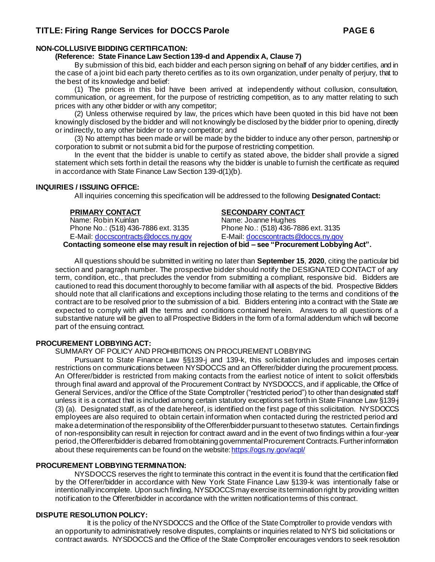### **NON-COLLUSIVE BIDDING CERTIFICATION:**

**(Reference: State Finance Law Section 139-d and Appendix A, Clause 7)**

By submission of this bid, each bidder and each person signing on behalf of any bidder certifies, and in the case of a joint bid each party thereto certifies as to its own organization, under penalty of perjury, that to the best of its knowledge and belief:

(1) The prices in this bid have been arrived at independently without collusion, consultation, communication, or agreement, for the purpose of restricting competition, as to any matter relating to such prices with any other bidder or with any competitor;

(2) Unless otherwise required by law, the prices which have been quoted in this bid have not been knowingly disclosed by the bidder and will not knowingly be disclosed by the bidder prior to opening, directly or indirectly, to any other bidder or to any competitor; and

(3) No attempt has been made or will be made by the bidder to induce any other person, partnership or corporation to submit or not submit a bid for the purpose of restricting competition.

In the event that the bidder is unable to certify as stated above, the bidder shall provide a signed statement which sets forth in detail the reasons why the bidder is unable to furnish the certificate as required in accordance with State Finance Law Section 139-d(1)(b).

#### **INQUIRIES / ISSUING OFFICE:**

All inquiries concerning this specification will be addressed to the following **Designated Contact:**

Name: Robin Kuinlan Name: Joanne Hughes<br>Phone No.: (518) 436-7886 ext. 3135 Phone No.: (518) 436-7886 ext. 3135 Phone No.: (518) 436-7886 ext. 3135 E-Mail: [doccscontracts@doccs.ny.gov](mailto:doccscontracts@doccs.ny.gov) E-Mail: [doccscontracts@doccs.ny.gov](mailto:doccscontracts@doccs.ny.gov)

#### **PRIMARY CONTACT SECONDARY CONTACT**

**Contacting someone else may result in rejection of bid – see "Procurement Lobbying Act".**

All questions should be submitted in writing no later than **September 15**, **2020**, citing the particular bid section and paragraph number. The prospective bidder should notify the DESIGNATED CONTACT of any term, condition, etc., that precludes the vendor from submitting a compliant, responsive bid. Bidders are cautioned to read this document thoroughly to become familiar with all aspects of the bid. Prospective Bidders should note that all clarifications and exceptions including those relating to the terms and conditions of the contract are to be resolved prior to the submission of a bid. Bidders entering into a contract with the State are expected to comply with **all** the terms and conditions contained herein. Answers to all questions of a substantive nature will be given to all Prospective Bidders in the form of a formal addendum which will become part of the ensuing contract.

#### **PROCUREMENT LOBBYING ACT:**

SUMMARY OF POLICY AND PROHIBITIONS ON PROCUREMENT LOBBYING

Pursuant to State Finance Law §§139-j and 139-k, this solicitation includes and imposes certain restrictions on communications between NYSDOCCS and an Offerer/bidder during the procurement process. An Offerer/bidder is restricted from making contacts from the earliest notice of intent to solicit offers/bids through final award and approval of the Procurement Contract by NYSDOCCS, and if applicable, the Office of General Services, and/or the Office of the State Comptroller ("restricted period") to other than designated staff unless it is a contact that is included among certain statutory exceptions set forth in State Finance Law §139-j (3) (a). Designated staff, as of the date hereof, is identified on the first page of this solicitation. NYSDOCCS employees are also required to obtain certain information when contacted during the restricted period and make a determination of the responsibility of the Offerer/bidder pursuant to these two statutes. Certain findings of non-responsibility can result in rejection for contract award and in the event of two findings within a four-year period, the Offerer/bidder is debarred from obtaining governmental Procurement Contracts. Further information about these requirements can be found on the website: https://ogs.ny.gov/acpl/

#### **PROCUREMENT LOBBYING TERMINATION:**

NYSDOCCS reserves the right to terminate this contract in the event it is found that the certification filed by the Offerer/bidder in accordance with New York State Finance Law §139-k was intentionally false or intentionally incomplete. Upon such finding, NYSDOCCS may exercise its termination right by providing written notification to the Offerer/bidder in accordance with the written notification terms of this contract.

#### **DISPUTE RESOLUTION POLICY:**

It is the policy of the NYSDOCCS and the Office of the State Comptroller to provide vendors with an opportunity to administratively resolve disputes, complaints or inquiries related to NYS bid solicitations or contract awards. NYSDOCCS and the Office of the State Comptroller encourages vendors to seek resolution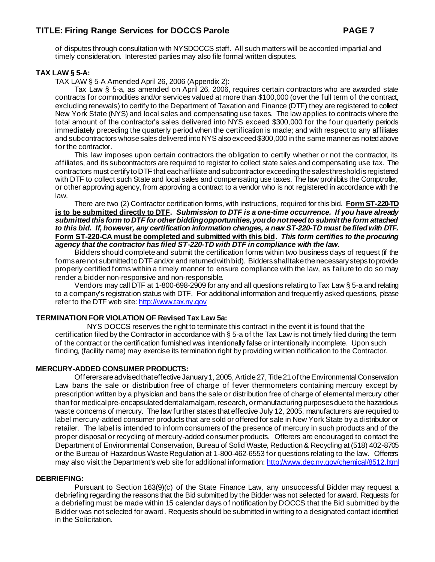of disputes through consultation with NYSDOCCS staff. All such matters will be accorded impartial and timely consideration. Interested parties may also file formal written disputes.

#### **TAX LAW § 5-A:**

TAX LAW § 5-A Amended April 26, 2006 (Appendix 2):

Tax Law § 5-a, as amended on April 26, 2006, requires certain contractors who are awarded state contracts for commodities and/or services valued at more than \$100,000 (over the full term of the contract, excluding renewals) to certify to the Department of Taxation and Finance (DTF) they are registered to collect New York State (NYS) and local sales and compensating use taxes. The law applies to contracts where the total amount of the contractor's sales delivered into NYS exceed \$300,000 for the four quarterly periods immediately preceding the quarterly period when the certification is made; and with respect to any affiliates and subcontractors whose sales delivered into NYS also exceed \$300,000 in the same manner as noted above for the contractor.

This law imposes upon certain contractors the obligation to certify whether or not the contractor, its affiliates, and its subcontractors are required to register to collect state sales and compensating use tax. The contractors must certify to DTF that each affiliate and subcontractor exceeding the sales threshold is registered with DTF to collect such State and local sales and compensating use taxes. The law prohibits the Comptroller, or other approving agency, from approving a contract to a vendor who is not registered in accordance with the law.

There are two (2) Contractor certification forms, with instructions, required for this bid. **Form ST-220-TD is to be submitted directly to DTF.** *Submission to DTF is a one-time occurrence. If you have already submitted this form to DTF for other bidding opportunities, you do not need to submit the form attached to this bid. If, however, any certification information changes, a new ST-220-TD must be filed with DTF.* **Form ST-220-CA must be completed and submitted with this bid.** *This form certifies to the procuring agency that the contractor has filed ST-220-TD with DTF in compliance with the law.*

Bidders should complete and submit the certification forms within two business days of request (if the forms are not submitted to DTF and/or and returned with bid). Bidders shall take the necessary steps to provide properly certified forms within a timely manner to ensure compliance with the law, as failure to do so may render a bidder non-responsive and non-responsible.

Vendors may call DTF at 1-800-698-2909 for any and all questions relating to Tax Law § 5-a and relating to a company's registration status with DTF. For additional information and frequently asked questions, please refer to the DTF web site[: http://www.tax.ny.gov](http://www.tax.ny.gov/)

#### **TERMINATION FOR VIOLATION OF Revised Tax Law 5a:**

NYS DOCCS reserves the right to terminate this contract in the event it is found that the certification filed by the Contractor in accordance with § 5-a of the Tax Law is not timely filed during the term of the contract or the certification furnished was intentionally false or intentionally incomplete. Upon such finding, (facility name) may exercise its termination right by providing written notification to the Contractor.

#### **MERCURY-ADDED CONSUMER PRODUCTS:**

Offerersare advised that effective January 1, 2005, Article 27, Title 21 of the Environmental Conservation Law bans the sale or distribution free of charge of fever thermometers containing mercury except by prescription written by a physician and bans the sale or distribution free of charge of elemental mercury other than for medical pre-encapsulated dental amalgam, research, or manufacturing purposes due to the hazardous waste concerns of mercury. The law further states that effective July 12, 2005, manufacturers are required to label mercury-added consumer products that are sold or offered for sale in New York State by a distributor or retailer. The label is intended to inform consumers of the presence of mercury in such products and of the proper disposal or recycling of mercury-added consumer products. Offerers are encouraged to contact the Department of Environmental Conservation, Bureau of Solid Waste, Reduction & Recycling at (518) 402-8705 or the Bureau of Hazardous Waste Regulation at 1-800-462-6553 for questions relating to the law. Offerers may also visit the Department's web site for additional information[: http://www.dec.ny.gov/chemical/8512.html](http://www.dec.ny.gov/chemical/8512.html)

#### **DEBRIEFING:**

Pursuant to Section 163(9)(c) of the State Finance Law, any unsuccessful Bidder may request a debriefing regarding the reasons that the Bid submitted by the Bidder was not selected for award. Requests for a debriefing must be made within 15 calendar days of notification by DOCCS that the Bid submitted by the Bidder was not selected for award. Requests should be submitted in writing to a designated contact identified in the Solicitation.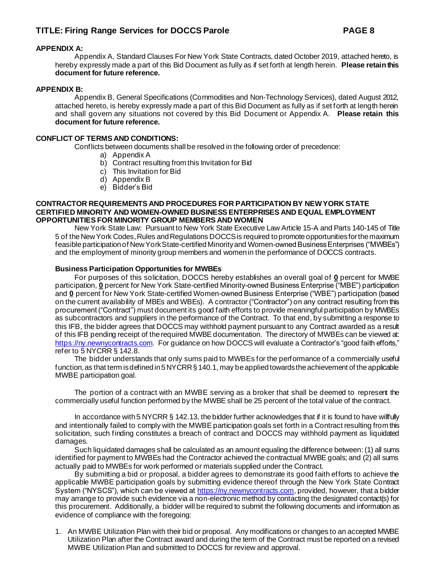#### **APPENDIX A:**

Appendix A, Standard Clauses For New York State Contracts, dated October 2019, attached hereto, is hereby expressly made a part of this Bid Document as fully as if set forth at length herein. **Please retain this document for future reference.**

#### **APPENDIX B:**

Appendix B, General Specifications (Commodities and Non-Technology Services), dated August 2012, attached hereto, is hereby expressly made a part of this Bid Document as fully as if set forth at length herein and shall govern any situations not covered by this Bid Document or Appendix A. **Please retain this document for future reference.**

#### **CONFLICT OF TERMS AND CONDITIONS:**

Conflicts between documents shall be resolved in the following order of precedence:

- a) Appendix A
- b) Contract resulting from this Invitation for Bid
- c) This Invitation for Bid
- d) Appendix B
- e) Bidder's Bid

#### **CONTRACTOR REQUIREMENTS AND PROCEDURES FOR PARTICIPATION BY NEW YORK STATE CERTIFIED MINORITY AND WOMEN-OWNED BUSINESS ENTERPRISES AND EQUAL EMPLOYMENT OPPORTUNITIES FOR MINORITY GROUP MEMBERS AND WOMEN**

New York State Law:Pursuant to New York State Executive Law Article 15-A and Parts 140-145 of Title 5 of the New York Codes, Rules and Regulations DOCCS is required to promote opportunities for the maximum feasible participation of New York State-certified Minority and Women-owned Business Enterprises ("MWBEs") and the employment of minority group members and women in the performance of DOCCS contracts.

#### **Business Participation Opportunities for MWBEs**

For purposes of this solicitation, DOCCS hereby establishes an overall goal of **0** percent for MWBE participation, **0** percent for New York State-certified Minority-owned Business Enterprise ("MBE") participation and **0** percent for New York State-certified Women-owned Business Enterprise ("WBE") participation (based on the current availability of MBEs and WBEs). A contractor ("Contractor") on any contract resulting from this procurement ("Contract") must document its good faith efforts to provide meaningful participation by MWBEs as subcontractors and suppliers in the performance of the Contract. To that end, by submitting a response to this IFB, the bidder agrees that DOCCS may withhold payment pursuant to any Contract awarded as a result of this IFB pending receipt of the required MWBE documentation. The directory of MWBEs can be viewed at: [https://ny.newnycontracts.com](https://ny.newnycontracts.com/). For guidance on how DOCCS will evaluate a Contractor's "good faith efforts," refer to 5 NYCRR § 142.8.

The bidder understands that only sums paid to MWBEs for the performance of a commercially useful function, as that term is defined in 5 NYCRR § 140.1, may be applied towards the achievement of the applicable MWBE participation goal.

The portion of a contract with an MWBE serving as a broker that shall be deemed to represent the commercially useful function performed by the MWBE shall be 25 percent of the total value of the contract.

In accordance with 5 NYCRR § 142.13, the bidder further acknowledges that if it is found to have willfully and intentionally failed to comply with the MWBE participation goals set forth in a Contract resulting from this solicitation, such finding constitutes a breach of contract and DOCCS may withhold payment as liquidated damages.

Such liquidated damages shall be calculated as an amount equaling the difference between: (1) all sums identified for payment to MWBEs had the Contractor achieved the contractual MWBE goals; and (2) all sums actually paid to MWBEs for work performed or materials supplied under the Contract.

By submitting a bid or proposal, a bidder agrees to demonstrate its good faith efforts to achieve the applicable MWBE participation goals by submitting evidence thereof through the New York State Contract System ("NYSCS"), which can be viewed a[t https://ny.newnycontracts.com](https://ny.newnycontracts.com/), provided, however, that a bidder may arrange to provide such evidence via a non-electronic method by contacting the designated contact(s) for this procurement. Additionally, a bidder will be required to submit the following documents and information as evidence of compliance with the foregoing:

1. An MWBE Utilization Plan with their bid or proposal. Any modifications or changes to an accepted MWBE Utilization Plan after the Contract award and during the term of the Contract must be reported on a revised MWBE Utilization Plan and submitted to DOCCS for review and approval.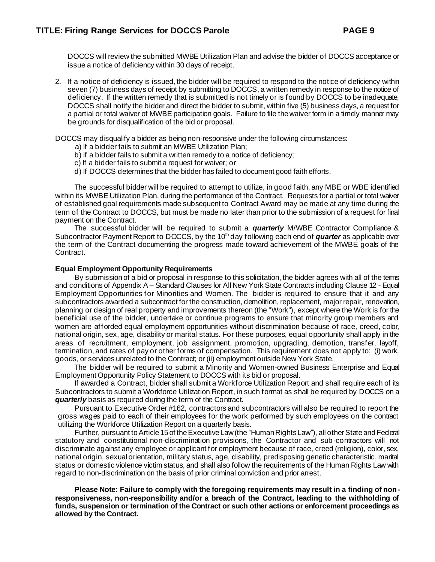DOCCS will review the submitted MWBE Utilization Plan and advise the bidder of DOCCS acceptance or issue a notice of deficiency within 30 days of receipt.

2. If a notice of deficiency is issued, the bidder will be required to respond to the notice of deficiency within seven (7) business days of receipt by submitting to DOCCS, a written remedy in response to the notice of deficiency. If the written remedy that is submitted is not timely or is found by DOCCS to be inadequate, DOCCS shall notify the bidder and direct the bidder to submit, within five (5) business days, a request for a partial or total waiver of MWBE participation goals. Failure to file the waiver form in a timely manner may be grounds for disqualification of the bid or proposal.

DOCCS may disqualify a bidder as being non-responsive under the following circumstances:

- a) If a bidder fails to submit an MWBE Utilization Plan;
- b) If a bidder fails to submit a written remedy to a notice of deficiency;
- c) If a bidder fails to submit a request for waiver; or
- d) If DOCCS determines that the bidder has failed to document good faith efforts.

The successful bidder will be required to attempt to utilize, in good faith, any MBE or WBE identified within its MWBE Utilization Plan, during the performance of the Contract. Requests for a partial or total waiver of established goal requirements made subsequent to Contract Award may be made at any time during the term of the Contract to DOCCS, but must be made no later than prior to the submission of a request for final payment on the Contract.

The successful bidder will be required to submit a *quarterly* M/WBE Contractor Compliance & Subcontractor Payment Report to DOCCS, by the 10<sup>th</sup> day following each end of *quarter* as applicable over the term of the Contract documenting the progress made toward achievement of the MWBE goals of the Contract.

#### **Equal Employment Opportunity Requirements**

By submission of a bid or proposal in response to this solicitation, the bidder agrees with all of the terms and conditions of Appendix A – Standard Clauses for All New York State Contracts including Clause 12 - Equal Employment Opportunities for Minorities and Women. The bidder is required to ensure that it and any subcontractors awarded a subcontract for the construction, demolition, replacement, major repair, renovation, planning or design of real property and improvements thereon (the "Work"), except where the Work is for the beneficial use of the bidder, undertake or continue programs to ensure that minority group members and women are afforded equal employment opportunities without discrimination because of race, creed, color, national origin, sex, age, disability or marital status. For these purposes, equal opportunity shall apply in the areas of recruitment, employment, job assignment, promotion, upgrading, demotion, transfer, layoff, termination, and rates of pay or other forms of compensation. This requirement does not apply to: (i) work, goods, or services unrelated to the Contract; or (ii) employment outside New York State.

The bidder will be required to submit a Minority and Women-owned Business Enterprise and Equal Employment Opportunity Policy Statement to DOCCS with its bid or proposal.

If awarded a Contract, bidder shall submit a Workforce Utilization Report and shall require each of its Subcontractors to submit a Workforce Utilization Report, in such format as shall be required by DOCCS on a *quarterly* basis as required during the term of the Contract.

Pursuant to Executive Order #162, contractors and subcontractors will also be required to report the gross wages paid to each of their employees for the work performed by such employees on the contract utilizing the Workforce Utilization Report on a quarterly basis.

Further, pursuant to Article 15 of the Executive Law (the "Human Rights Law"), all other State and Federal statutory and constitutional non-discrimination provisions, the Contractor and sub-contractors will not discriminate against any employee or applicant for employment because of race, creed (religion), color, sex, national origin, sexual orientation, military status, age, disability, predisposing genetic characteristic, marital status or domestic violence victim status, and shall also follow the requirements of the Human Rights Law with regard to non-discrimination on the basis of prior criminal conviction and prior arrest.

**Please Note: Failure to comply with the foregoing requirements may result in a finding of nonresponsiveness, non-responsibility and/or a breach of the Contract, leading to the withholding of funds, suspension or termination of the Contract or such other actions or enforcement proceedings as allowed by the Contract.**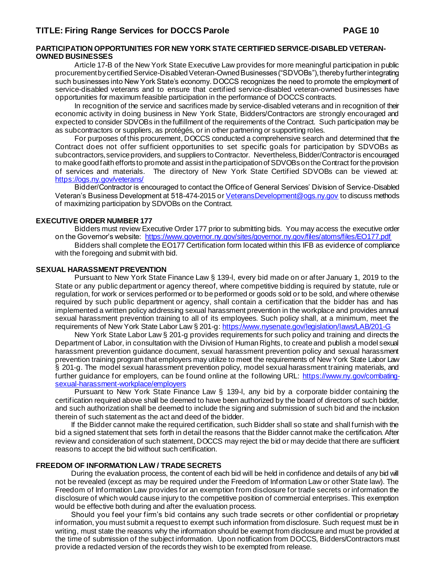#### **PARTICIPATION OPPORTUNITIES FOR NEW YORK STATE CERTIFIED SERVICE-DISABLED VETERAN-OWNED BUSINESSES**

Article 17-B of the New York State Executive Law provides for more meaningful participation in public procurement by certified Service-Disabled Veteran-Owned Businesses ("SDVOBs"), thereby further integrating such businesses into New York State's economy. DOCCS recognizes the need to promote the employment of service-disabled veterans and to ensure that certified service-disabled veteran-owned businesses have opportunities for maximum feasible participation in the performance of DOCCS contracts.

In recognition of the service and sacrifices made by service-disabled veterans and in recognition of their economic activity in doing business in New York State, Bidders/Contractors are strongly encouraged and expected to consider SDVOBs in the fulfillment of the requirements of the Contract. Such participation may be as subcontractors or suppliers, as protégés, or in other partnering or supporting roles.

For purposes of this procurement, DOCCS conducted a comprehensive search and determined that the Contract does not offer sufficient opportunities to set specific goals for participation by SDVOBs as subcontractors, service providers, and suppliers to Contractor. Nevertheless, Bidder/Contractor is encouraged to make good faith efforts to promote and assist in the participation of SDVOBs on the Contract for the provision of services and materials. The directory of New York State Certified SDVOBs can be viewed at: <https://ogs.ny.gov/veterans/>

Bidder/Contractor is encouraged to contact the Office of General Services' Division of Service-Disabled Veteran's Business Development at 518-474-2015 o[r VeteransDevelopment@ogs.ny.gov](mailto:VeteransDevelopment@ogs.ny.gov) to discuss methods of maximizing participation by SDVOBs on the Contract.

#### **EXECUTIVE ORDER NUMBER 177**

Bidders must review Executive Order 177 prior to submitting bids. You may access the executive order on the Governor's website:<https://www.governor.ny.gov/sites/governor.ny.gov/files/atoms/files/EO177.pdf> Bidders shall complete the EO177 Certification form located within this IFB as evidence of compliance with the foregoing and submit with bid.

#### **SEXUAL HARASSMENT PREVENTION**

Pursuant to New York State Finance Law § 139-l, every bid made on or after January 1, 2019 to the State or any public department or agency thereof, where competitive bidding is required by statute, rule or regulation, for work or services performed or to be performed or goods sold or to be sold, and where otherwise required by such public department or agency, shall contain a certification that the bidder has and has implemented a written policy addressing sexual harassment prevention in the workplace and provides annual sexual harassment prevention training to all of its employees. Such policy shall, at a minimum, meet the requirements of New York State Labor Law § 201-g[: https://www.nysenate.gov/legislation/laws/LAB/201-G](https://www.nysenate.gov/legislation/laws/LAB/201-G)

New York State Labor Law § 201-g provides requirements for such policy and training and directs the Department of Labor, in consultation with the Division of Human Rights, to create and publish a model sexual harassment prevention guidance document, sexual harassment prevention policy and sexual harassment prevention training program that employers may utilize to meet the requirements of New York State Labor Law § 201-g. The model sexual harassment prevention policy, model sexual harassment training materials, and further guidance for employers, can be found online at the following URL: [https://www.ny.gov/combating](https://www.ny.gov/combating-sexual-harassment-workplace/employers)[sexual-harassment-workplace/employers](https://www.ny.gov/combating-sexual-harassment-workplace/employers)

Pursuant to New York State Finance Law § 139-l, any bid by a corporate bidder containing the certification required above shall be deemed to have been authorized by the board of directors of such bidder, and such authorization shall be deemed to include the signing and submission of such bid and the inclusion therein of such statement as the act and deed of the bidder.

If the Bidder cannot make the required certification, such Bidder shall so state and shall furnish with the bid a signed statement that sets forth in detail the reasons that the Bidder cannot make the certification. After review and consideration of such statement, DOCCS may reject the bid or may decide that there are sufficient reasons to accept the bid without such certification.

#### **FREEDOM OF INFORMATION LAW / TRADE SECRETS**

During the evaluation process, the content of each bid will be held in confidence and details of any bid will not be revealed (except as may be required under the Freedom of Information Law or other State law). The Freedom of Information Law provides for an exemption from disclosure for trade secrets or information the disclosure of which would cause injury to the competitive position of commercial enterprises. This exemption would be effective both during and after the evaluation process.

Should you feel your firm's bid contains any such trade secrets or other confidential or proprietary information, you must submit a request to exempt such information from disclosure. Such request must be in writing, must state the reasons why the information should be exempt from disclosure and must be provided at the time of submission of the subject information. Upon notification from DOCCS, Bidders/Contractors must provide a redacted version of the records they wish to be exempted from release.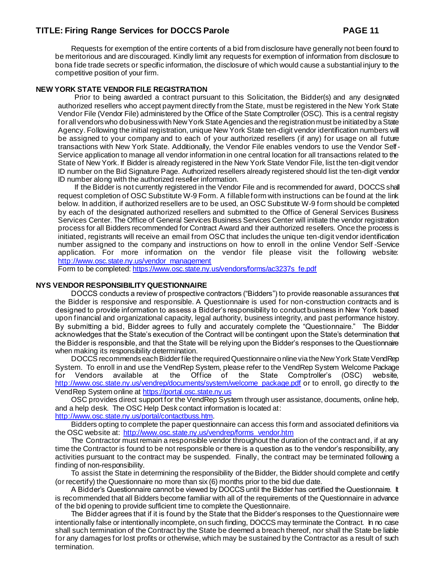Requests for exemption of the entire contents of a bid from disclosure have generally not been found to be meritorious and are discouraged. Kindly limit any requests for exemption of information from disclosure to bona fide trade secrets or specific information, the disclosure of which would cause a substantial injury to the competitive position of your firm.

#### **NEW YORK STATE VENDOR FILE REGISTRATION**

Prior to being awarded a contract pursuant to this Solicitation, the Bidder(s) and any designated authorized resellers who accept payment directly from the State, must be registered in the New York State Vendor File (Vendor File) administered by the Office of the State Comptroller (OSC). This is a central registry for all vendors who do business with New York State Agencies and the registration must be initiated by a State Agency. Following the initial registration, unique New York State ten-digit vendor identification numbers will be assigned to your company and to each of your authorized resellers (if any) for usage on all future transactions with New York State. Additionally, the Vendor File enables vendors to use the Vendor Self-Service application to manage all vendor information in one central location for all transactions related to the State of New York. If Bidder is already registered in the New York State Vendor File, list the ten-digit vendor ID number on the Bid Signature Page. Authorized resellers already registered should list the ten-digit vendor ID number along with the authorized reseller information.

If the Bidder is not currently registered in the Vendor File and is recommended for award, DOCCS shall request completion of OSC Substitute W-9 Form. A fillable form with instructions can be found at the link below. In addition, if authorized resellers are to be used, an OSC Substitute W-9 form should be completed by each of the designated authorized resellers and submitted to the Office of General Services Business Services Center. The Office of General Services Business Services Center will initiate the vendor registration process for all Bidders recommended for Contract Award and their authorized resellers. Once the process is initiated, registrants will receive an email from OSC that includes the unique ten-digit vendor identification number assigned to the company and instructions on how to enroll in the online Vendor Self -Service application. For more information on the vendor file please visit the following website: [http://www.osc.state.ny.us/vendor\\_management](http://www.osc.state.ny.us/vendor_management)

Form to be completed[: https://www.osc.state.ny.us/vendors/forms/ac3237s\\_fe.pdf](https://www.osc.state.ny.us/vendors/forms/ac3237s_fe.pdf)

#### **NYS VENDOR RESPONSIBILITY QUESTIONNAIRE**

DOCCS conducts a review of prospective contractors ("Bidders") to provide reasonable assurances that the Bidder is responsive and responsible. A Questionnaire is used for non-construction contracts and is designed to provide information to assess a Bidder's responsibility to conduct business in New York based upon financial and organizational capacity, legal authority, business integrity, and past performance history. By submitting a bid, Bidder agrees to fully and accurately complete the "Questionnaire." The Bidder acknowledges that the State's execution of the Contract will be contingent upon the State's determination that the Bidder is responsible, and that the State will be relying upon the Bidder's responses to the Questionnaire when making its responsibility determination.

DOCCS recommends each Bidder file the required Questionnaire online via the New York State VendRep System. To enroll in and use the VendRep System, please refer to the VendRep System Welcome Package for Vendors available at the Office of the State Comptroller's (OSC) website, [http://www.osc.state.ny.us/vendrep/documents/system/welcome\\_package.pdf](http://www.osc.state.ny.us/vendrep/documents/system/welcome_package.pdf) or to enroll, go directly to the VendRep System online a[t https://portal.osc.state.ny.us](https://portal.osc.state.ny.us/)

OSC provides direct support for the VendRep System through user assistance, documents, online help, and a help desk. The OSC Help Desk contact information is located at: <http://www.osc.state.ny.us/portal/contactbuss.htm>.

Bidders opting to complete the paper questionnaire can access this form and associated definitions via the OSC website at: [http://www.osc.state.ny.us/vendrep/forms\\_vendor.htm](http://www.osc.state.ny.us/vendrep/forms_vendor.htm)

The Contractor must remain a responsible vendor throughout the duration of the contract and, if at any time the Contractor is found to be not responsible or there is a question as to the vendor's responsibility, any activities pursuant to the contract may be suspended. Finally, the contract may be terminated following a finding of non-responsibility.

To assist the State in determining the responsibility of the Bidder, the Bidder should complete and certify (or recertify) the Questionnaire no more than six (6) months prior to the bid due date.

A Bidder's Questionnaire cannot be viewed by DOCCS until the Bidder has certified the Questionnaire. It is recommended that all Bidders become familiar with all of the requirements of the Questionnaire in advance of the bid opening to provide sufficient time to complete the Questionnaire.

The Bidder agrees that if it is found by the State that the Bidder's responses to the Questionnaire were intentionally false or intentionally incomplete, on such finding, DOCCS may terminate the Contract. In no case shall such termination of the Contract by the State be deemed a breach thereof, nor shall the State be liable for any damages for lost profits or otherwise, which may be sustained by the Contractor as a result of such termination.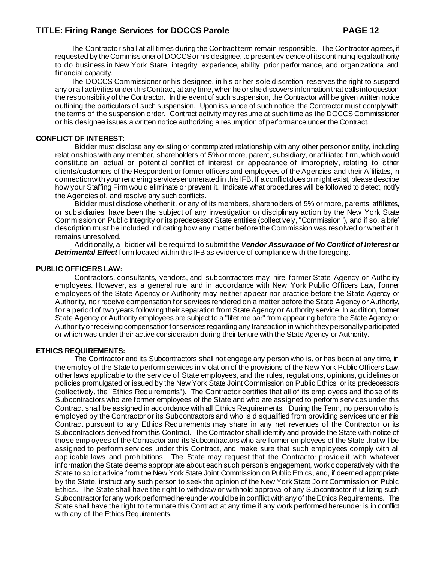The Contractor shall at all times during the Contract term remain responsible. The Contractor agrees, if requested by the Commissioner of DOCCS or his designee, to present evidence of its continuing legal authority to do business in New York State, integrity, experience, ability, prior performance, and organizational and financial capacity.

The DOCCS Commissioner or his designee, in his or her sole discretion, reserves the right to suspend any or all activities under this Contract, at any time, when he or she discovers information that calls into question the responsibility of the Contractor. In the event of such suspension, the Contractor will be given written notice outlining the particulars of such suspension. Upon issuance of such notice, the Contractor must comply with the terms of the suspension order. Contract activity may resume at such time as the DOCCS Commissioner or his designee issues a written notice authorizing a resumption of performance under the Contract.

#### **CONFLICT OF INTEREST:**

Bidder must disclose any existing or contemplated relationship with any other person or entity, including relationships with any member, shareholders of 5% or more, parent, subsidiary, or affiliated firm, which would constitute an actual or potential conflict of interest or appearance of impropriety, relating to other clients/customers of the Respondent or former officers and employees of the Agencies and their Affiliates, in connection with your rendering services enumerated in this IFB. If a conflict does or might exist, please describe how your Staffing Firm would eliminate or prevent it. Indicate what procedures will be followed to detect, notify the Agencies of, and resolve any such conflicts.

Bidder must disclose whether it, or any of its members, shareholders of 5% or more, parents, affiliates, or subsidiaries, have been the subject of any investigation or disciplinary action by the New York State Commission on Public Integrity or its predecessor State entities (collectively, "Commission"), and if so, a brief description must be included indicating how any matter before the Commission was resolved or whether it remains unresolved.

Additionally, a bidder will be required to submit the *Vendor Assurance of No Conflict of Interest or Detrimental Effect* form located within this IFB as evidence of compliance with the foregoing.

#### **PUBLIC OFFICERS LAW:**

Contractors, consultants, vendors, and subcontractors may hire former State Agency or Authority employees. However, as a general rule and in accordance with New York Public Officers Law, former employees of the State Agency or Authority may neither appear nor practice before the State Agency or Authority, nor receive compensation for services rendered on a matter before the State Agency or Authority, for a period of two years following their separation from State Agency or Authority service. In addition, former State Agency or Authority employees are subject to a "lifetime bar" from appearing before the State Agency or Authority or receiving compensation for services regarding any transaction in which they personally participated or which was under their active consideration during their tenure with the State Agency or Authority.

#### **ETHICS REQUIREMENTS:**

The Contractor and its Subcontractors shall not engage any person who is, or has been at any time, in the employ of the State to perform services in violation of the provisions of the New York Public Officers Law, other laws applicable to the service of State employees, and the rules, regulations, opinions, guidelines or policies promulgated or issued by the New York State Joint Commission on Public Ethics, or its predecessors (collectively, the "Ethics Requirements"). The Contractor certifies that all of its employees and those of its Subcontractors who are former employees of the State and who are assigned to perform services under this Contract shall be assigned in accordance with all Ethics Requirements. During the Term, no person who is employed by the Contractor or its Subcontractors and who is disqualified from providing services under this Contract pursuant to any Ethics Requirements may share in any net revenues of the Contractor or its Subcontractors derived from this Contract. The Contractor shall identify and provide the State with notice of those employees of the Contractor and its Subcontractors who are former employees of the State that will be assigned to perform services under this Contract, and make sure that such employees comply with all applicable laws and prohibitions. The State may request that the Contractor provide it with whatever information the State deems appropriate about each such person's engagement, work cooperatively with the State to solicit advice from the New York State Joint Commission on Public Ethics, and, if deemed appropriate by the State, instruct any such person to seek the opinion of the New York State Joint Commission on Public Ethics. The State shall have the right to withdraw or withhold approval of any Subcontractor if utilizing such Subcontractor for any work performed hereunder would be in conflict with any of the Ethics Requirements. The State shall have the right to terminate this Contract at any time if any work performed hereunder is in conflict with any of the Ethics Requirements.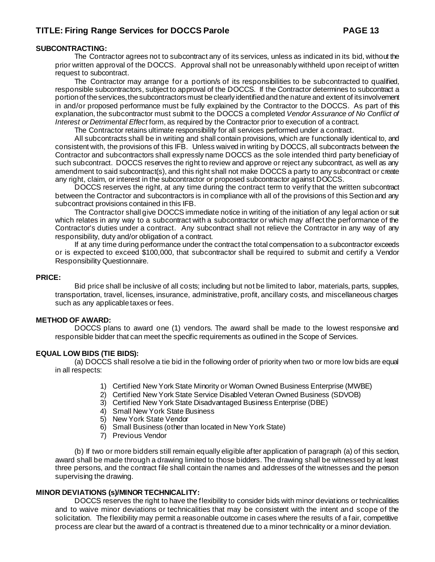#### **SUBCONTRACTING:**

The Contractor agrees not to subcontract any of its services, unless as indicated in its bid, without the prior written approval of the DOCCS. Approval shall not be unreasonably withheld upon receipt of written request to subcontract.

The Contractor may arrange for a portion/s of its responsibilities to be subcontracted to qualified, responsible subcontractors, subject to approval of the DOCCS. If the Contractor determines to subcontract a portion of the services, the subcontractors must be clearly identified and the nature and extent of its involvement in and/or proposed performance must be fully explained by the Contractor to the DOCCS. As part of this explanation, the subcontractor must submit to the DOCCS a completed *Vendor Assurance of No Conflict of Interest or Detrimental Effect* form, as required by the Contractor prior to execution of a contract.

The Contractor retains ultimate responsibility for all services performed under a contract.

All subcontracts shall be in writing and shall contain provisions, which are functionally identical to, and consistent with, the provisions of this IFB. Unless waived in writing by DOCCS, all subcontracts between the Contractor and subcontractors shall expressly name DOCCS as the sole intended third party beneficiary of such subcontract. DOCCS reserves the right to review and approve or reject any subcontract, as well as any amendment to said subcontract(s), and this right shall not make DOCCS a party to any subcontract or create any right, claim, or interest in the subcontractor or proposed subcontractor against DOCCS.

DOCCS reserves the right, at any time during the contract term to verify that the written subcontract between the Contractor and subcontractors is in compliance with all of the provisions of this Section and any subcontract provisions contained in this IFB.

The Contractor shall give DOCCS immediate notice in writing of the initiation of any legal action or suit which relates in any way to a subcontract with a subcontractor or which may affect the performance of the Contractor's duties under a contract. Any subcontract shall not relieve the Contractor in any way of any responsibility, duty and/or obligation of a contract.

If at any time during performance under the contract the total compensation to a subcontractor exceeds or is expected to exceed \$100,000, that subcontractor shall be required to submit and certify a Vendor Responsibility Questionnaire.

#### **PRICE:**

Bid price shall be inclusive of all costs; including but not be limited to labor, materials, parts, supplies, transportation, travel, licenses, insurance, administrative, profit, ancillary costs, and miscellaneous charges such as any applicable taxes or fees.

#### **METHOD OF AWARD:**

DOCCS plans to award one (1) vendors. The award shall be made to the lowest responsive and responsible bidder that can meet the specific requirements as outlined in the Scope of Services.

#### **EQUAL LOW BIDS (TIE BIDS):**

(a) DOCCS shall resolve a tie bid in the following order of priority when two or more low bids are equal in all respects:

- 1) Certified New York State Minority or Woman Owned Business Enterprise (MWBE)
- 2) Certified New York State Service Disabled Veteran Owned Business (SDVOB)
- 3) Certified New York State Disadvantaged Business Enterprise (DBE)
- 4) Small New York State Business
- 5) New York State Vendor
- 6) Small Business (other than located in New York State)
- 7) Previous Vendor

(b) If two or more bidders still remain equally eligible after application of paragraph (a) of this section, award shall be made through a drawing limited to those bidders. The drawing shall be witnessed by at least three persons, and the contract file shall contain the names and addresses of the witnesses and the person supervising the drawing.

#### **MINOR DEVIATIONS (s)/MINOR TECHNICALITY:**

DOCCS reserves the right to have the flexibility to consider bids with minor deviations or technicalities and to waive minor deviations or technicalities that may be consistent with the intent and scope of the solicitation. The flexibility may permit a reasonable outcome in cases where the results of a fair, competitive process are clear but the award of a contract is threatened due to a minor technicality or a minor deviation.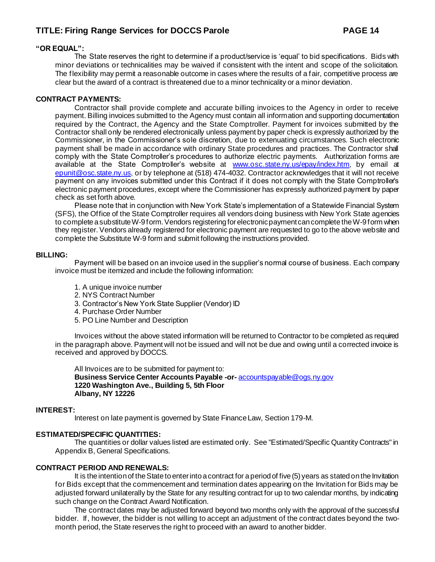#### **"OR EQUAL":**

The State reserves the right to determine if a product/service is 'equal' to bid specifications. Bids with minor deviations or technicalities may be waived if consistent with the intent and scope of the solicitation. The flexibility may permit a reasonable outcome in cases where the results of a fair, competitive process are clear but the award of a contract is threatened due to a minor technicality or a minor deviation.

#### **CONTRACT PAYMENTS:**

Contractor shall provide complete and accurate billing invoices to the Agency in order to receive payment. Billing invoices submitted to the Agency must contain all information and supporting documentation required by the Contract, the Agency and the State Comptroller. Payment for invoices submitted by the Contractor shall only be rendered electronically unless payment by paper check is expressly authorized by the Commissioner, in the Commissioner's sole discretion, due to extenuating circumstances. Such electronic payment shall be made in accordance with ordinary State procedures and practices. The Contractor shall comply with the State Comptroller's procedures to authorize electric payments. Authorization forms are available at the State Comptroller's website at [www.osc.state.ny.us/epay/index.htm](http://www.osc.state.ny.us/epay/index.htm), by email at [epunit@osc.state.ny.us](mailto:epunit@osc.state.ny.us), or by telephone at (518) 474-4032. Contractor acknowledges that it will not receive payment on any invoices submitted under this Contract if it does not comply with the State Comptroller's electronic payment procedures, except where the Commissioner has expressly authorized payment by paper check as set forth above.

Please note that in conjunction with New York State's implementation of a Statewide Financial System (SFS), the Office of the State Comptroller requires all vendors doing business with New York State agencies to complete a substitute W-9 form. Vendors registering for electronic payment can complete the W-9 form when they register. Vendors already registered for electronic payment are requested to go to the above website and complete the Substitute W-9 form and submit following the instructions provided.

#### **BILLING:**

Payment will be based on an invoice used in the supplier's normal course of business. Each company invoice must be itemized and include the following information:

- 1. A unique invoice number
- 2. NYS Contract Number
- 3. Contractor's New York State Supplier (Vendor) ID
- 4. Purchase Order Number
- 5. PO Line Number and Description

Invoices without the above stated information will be returned to Contractor to be completed as required in the paragraph above. Payment will not be issued and will not be due and owing until a corrected invoice is received and approved by DOCCS.

All Invoices are to be submitted for payment to: **Business Service Center Accounts Payable -or-** [accountspayable@ogs.ny.gov](mailto:accountspayable@ogs.ny.gov) **1220 Washington Ave., Building 5, 5th Floor Albany, NY 12226**

#### **INTEREST:**

Interest on late payment is governed by State Finance Law, Section 179-M.

#### **ESTIMATED/SPECIFIC QUANTITIES:**

The quantities or dollar values listed are estimated only. See "Estimated/Specific Quantity Contracts" in Appendix B, General Specifications.

#### **CONTRACT PERIOD AND RENEWALS:**

It is the intention of the State to enter into a contract for a period of five (5) years as stated on the Invitation for Bids except that the commencement and termination dates appearing on the Invitation for Bids may be adjusted forward unilaterally by the State for any resulting contract for up to two calendar months, by indicating such change on the Contract Award Notification.

The contract dates may be adjusted forward beyond two months only with the approval of the successful bidder. If, however, the bidder is not willing to accept an adjustment of the contract dates beyond the twomonth period, the State reserves the right to proceed with an award to another bidder.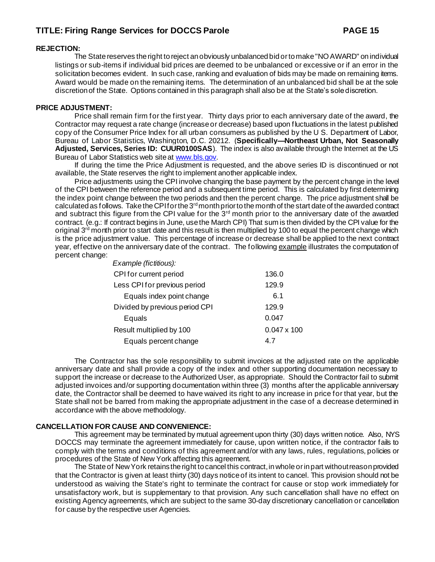#### **REJECTION:**

The State reserves the right to reject an obviously unbalanced bid or to make "NO AWARD" on individual listings or sub-items if individual bid prices are deemed to be unbalanced or excessive or if an error in the solicitation becomes evident. In such case, ranking and evaluation of bids may be made on remaining items. Award would be made on the remaining items. The determination of an unbalanced bid shall be at the sole discretion of the State. Options contained in this paragraph shall also be at the State's sole discretion.

#### **PRICE ADJUSTMENT:**

Price shall remain firm for the first year. Thirty days prior to each anniversary date of the award, the Contractor may request a rate change (increase or decrease) based upon fluctuations in the latest published copy of the Consumer Price Index for all urban consumers as published by the U S. Department of Labor, Bureau of Labor Statistics, Washington, D.C. 20212. (**Specifically—Northeast Urban, Not Seasonally Adjusted, Services, Series ID: CUUR0100SAS**). The index is also available through the Internet at the US Bureau of Labor Statistics web site a[t www.bls.gov](http://www.bls.gov/).

If during the time the Price Adjustment is requested, and the above series ID is discontinued or not available, the State reserves the right to implement another applicable index.

Price adjustments using the CPI involve changing the base payment by the percent change in the level of the CPI between the reference period and a subsequent time period. This is calculated by first determining the index point change between the two periods and then the percent change. The price adjustment shall be calculated as follows. Take the CPI for the 3<sup>rd</sup> month prior to the month of the start date of the awarded contract and subtract this figure from the CPI value for the  $3<sup>rd</sup>$  month prior to the anniversary date of the awarded contract. (e.g.: If contract begins in June, use the March CPI) That sum is then divided by the CPI value for the original 3<sup>rd</sup> month prior to start date and this result is then multiplied by 100 to equal the percent change which is the price adjustment value. This percentage of increase or decrease shall be applied to the next contract year, effective on the anniversary date of the contract. The following example illustrates the computation of percent change:

| Example (fictitious):          |                    |
|--------------------------------|--------------------|
| CPI for current period         | 136.0              |
| Less CPI for previous period   | 129.9              |
| Equals index point change      | 6.1                |
| Divided by previous period CPI | 129.9              |
| Equals                         | 0.047              |
| Result multiplied by 100       | $0.047 \times 100$ |
| Equals percent change          | 4.7                |
|                                |                    |

The Contractor has the sole responsibility to submit invoices at the adjusted rate on the applicable anniversary date and shall provide a copy of the index and other supporting documentation necessary to support the increase or decrease to the Authorized User, as appropriate. Should the Contractor fail to submit adjusted invoices and/or supporting documentation within three (3) months after the applicable anniversary date, the Contractor shall be deemed to have waived its right to any increase in price for that year, but the State shall not be barred from making the appropriate adjustment in the case of a decrease determined in accordance with the above methodology.

#### **CANCELLATION FOR CAUSE AND CONVENIENCE:**

This agreement may be terminated by mutual agreement upon thirty (30) days written notice. Also, NYS DOCCS may terminate the agreement immediately for cause, upon written notice, if the contractor fails to comply with the terms and conditions of this agreement and/or with any laws, rules, regulations, policies or procedures of the State of New York affecting this agreement.

The State of New York retains the right to cancel this contract, in whole or in part without reason provided that the Contractor is given at least thirty (30) days notice of its intent to cancel. This provision should not be understood as waiving the State's right to terminate the contract for cause or stop work immediately for unsatisfactory work, but is supplementary to that provision. Any such cancellation shall have no effect on existing Agency agreements, which are subject to the same 30-day discretionary cancellation or cancellation for cause by the respective user Agencies.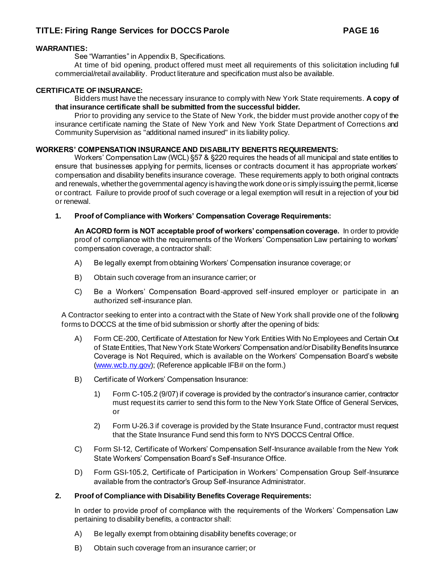#### **WARRANTIES:**

See "Warranties" in Appendix B, Specifications.

At time of bid opening, product offered must meet all requirements of this solicitation including full commercial/retail availability. Product literature and specification must also be available.

#### **CERTIFICATE OF INSURANCE:**

Bidders must have the necessary insurance to comply with New York State requirements. **A copy of that insurance certificate shall be submitted from the successful bidder.** 

Prior to providing any service to the State of New York, the bidder must provide another copy of the insurance certificate naming the State of New York and New York State Department of Corrections and Community Supervision as "additional named insured" in its liability policy.

#### **WORKERS' COMPENSATION INSURANCE AND DISABILITY BENEFITS REQUIREMENTS:**

Workers' Compensation Law (WCL) §57 & §220 requires the heads of all municipal and state entities to ensure that businesses applying for permits, licenses or contracts document it has appropriate workers' compensation and disability benefits insurance coverage. These requirements apply to both original contracts and renewals, whether the governmental agency is having the work done or is simply issuing the permit, license or contract. Failure to provide proof of such coverage or a legal exemption will result in a rejection of your bid or renewal.

#### **1. Proof of Compliance with Workers' Compensation Coverage Requirements:**

**An ACORD form is NOT acceptable proof of workers' compensation coverage.** In order to provide proof of compliance with the requirements of the Workers' Compensation Law pertaining to workers' compensation coverage, a contractor shall:

- A) Be legally exempt from obtaining Workers' Compensation insurance coverage; or
- B) Obtain such coverage from an insurance carrier; or
- C) Be a Workers' Compensation Board-approved self-insured employer or participate in an authorized self-insurance plan.

A Contractor seeking to enter into a contract with the State of New York shall provide one of the following forms to DOCCS at the time of bid submission or shortly after the opening of bids:

- A) Form CE-200, Certificate of Attestation for New York Entities With No Employees and Certain Out of State Entities, That New York State Workers' Compensation and/or Disability Benefits Insurance Coverage is Not Required, which is available on the Workers' Compensation Board's website [\(www.wcb.ny.gov](http://www.wcb.ny.gov/)); (Reference applicable IFB# on the form.)
- B) Certificate of Workers' Compensation Insurance:
	- 1) Form C-105.2 (9/07) if coverage is provided by the contractor's insurance carrier, contractor must request its carrier to send this form to the New York State Office of General Services, or
	- 2) Form U-26.3 if coverage is provided by the State Insurance Fund, contractor must request that the State Insurance Fund send this form to NYS DOCCS Central Office.
- C) Form SI-12, Certificate of Workers' Compensation Self-Insurance available from the New York State Workers' Compensation Board's Self-Insurance Office.
- D) Form GSI-105.2, Certificate of Participation in Workers' Compensation Group Self-Insurance available from the contractor's Group Self-Insurance Administrator.

#### **2. Proof of Compliance with Disability Benefits Coverage Requirements:**

In order to provide proof of compliance with the requirements of the Workers' Compensation Law pertaining to disability benefits, a contractor shall:

- A) Be legally exempt from obtaining disability benefits coverage; or
- B) Obtain such coverage from an insurance carrier; or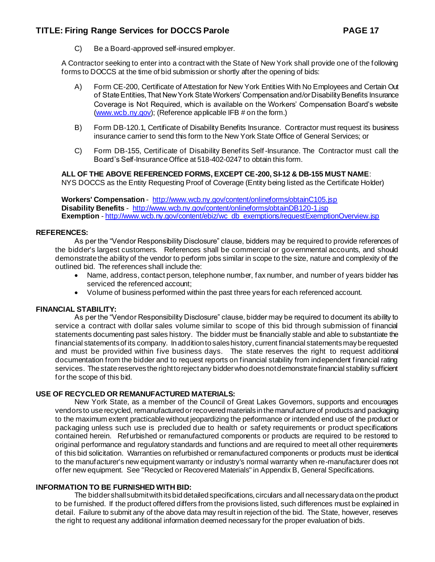C) Be a Board-approved self-insured employer.

A Contractor seeking to enter into a contract with the State of New York shall provide one of the following forms to DOCCS at the time of bid submission or shortly after the opening of bids:

- A) Form CE-200, Certificate of Attestation for New York Entities With No Employees and Certain Out of State Entities, That New York State Workers' Compensation and/or Disability Benefits Insurance Coverage is Not Required, which is available on the Workers' Compensation Board's website [\(www.wcb.ny.gov](http://www.wcb.ny.gov/)); (Reference applicable IFB # on the form.)
- B) Form DB-120.1, Certificate of Disability Benefits Insurance. Contractor must request its business insurance carrier to send this form to the New York State Office of General Services; or
- C) Form DB-155, Certificate of Disability Benefits Self-Insurance. The Contractor must call the Board's Self-Insurance Office at 518-402-0247 to obtain this form.

#### **ALL OF THE ABOVE REFERENCED FORMS, EXCEPT CE-200, SI-12 & DB-155 MUST NAME**:

NYS DOCCS as the Entity Requesting Proof of Coverage (Entity being listed as the Certificate Holder)

**Workers' Compensation** - <http://www.wcb.ny.gov/content/onlineforms/obtainC105.jsp> **Disability Benefits** - <http://www.wcb.ny.gov/content/onlineforms/obtainDB120-1.jsp> **Exemption** - [http://www.wcb.ny.gov/content/ebiz/wc\\_db\\_exemptions/requestExemptionOverview.jsp](http://www.wcb.ny.gov/content/ebiz/wc_db_exemptions/requestExemptionOverview.jsp)

#### **REFERENCES:**

As per the "Vendor Responsibility Disclosure" clause, bidders may be required to provide references of the bidder's largest customers. References shall be commercial or governmental accounts, and should demonstrate the ability of the vendor to perform jobs similar in scope to the size, nature and complexity of the outlined bid. The references shall include the:

- Name, address, contact person, telephone number, fax number, and number of years bidder has serviced the referenced account;
- Volume of business performed within the past three years for each referenced account.

#### **FINANCIAL STABILITY:**

As per the "Vendor Responsibility Disclosure" clause, bidder may be required to document its ability to service a contract with dollar sales volume similar to scope of this bid through submission of financial statements documenting past sales history. The bidder must be financially stable and able to substantiate the financial statements of its company. In addition to sales history, current financial statements may be requested and must be provided within five business days. The state reserves the right to request additional documentation from the bidder and to request reports on financial stability from independent financial rating services. The state reserves the right to reject any bidder who does not demonstrate financial stability sufficient for the scope of this bid.

#### **USE OF RECYCLED OR REMANUFACTURED MATERIALS:**

New York State, as a member of the Council of Great Lakes Governors, supports and encourages vendors to use recycled, remanufactured or recovered materials in the manufacture of products and packaging to the maximum extent practicable without jeopardizing the performance or intended end use of the product or packaging unless such use is precluded due to health or safety requirements or product specifications contained herein. Refurbished or remanufactured components or products are required to be restored to original performance and regulatory standards and functions and are required to meet all other requirements of this bid solicitation. Warranties on refurbished or remanufactured components or products must be identical to the manufacturer's new equipment warranty or industry's normal warranty when re-manufacturer does not offer new equipment. See "Recycled or Recovered Materials" in Appendix B, General Specifications.

#### **INFORMATION TO BE FURNISHED WITH BID:**

The bidder shall submit with its bid detailed specifications, circulars and all necessary data on the product to be furnished. If the product offered differs from the provisions listed, such differences must be explained in detail. Failure to submit any of the above data may result in rejection of the bid. The State, however, reserves the right to request any additional information deemed necessary for the proper evaluation of bids.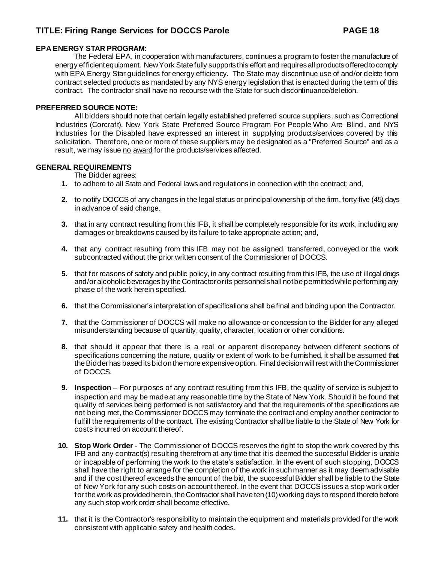#### **EPA ENERGY STAR PROGRAM:**

The Federal EPA, in cooperation with manufacturers, continues a program to foster the manufacture of energy efficient equipment. New York State fully supports this effort and requires all products offered to comply with EPA Energy Star guidelines for energy efficiency. The State may discontinue use of and/or delete from contract selected products as mandated by any NYS energy legislation that is enacted during the term of this contract. The contractor shall have no recourse with the State for such discontinuance/deletion.

#### **PREFERRED SOURCE NOTE:**

All bidders should note that certain legally established preferred source suppliers, such as Correctional Industries (Corcraft), New York State Preferred Source Program For People Who Are Blind , and NYS Industries for the Disabled have expressed an interest in supplying products/services covered by this solicitation. Therefore, one or more of these suppliers may be designated as a "Preferred Source" and as a result, we may issue no award for the products/services affected.

#### **GENERAL REQUIREMENTS**

The Bidder agrees:

- **1.** to adhere to all State and Federal laws and regulations in connection with the contract; and,
- **2.** to notify DOCCS of any changes in the legal status or principal ownership of the firm, forty-five (45) days in advance of said change.
- **3.** that in any contract resulting from this IFB, it shall be completely responsible for its work, including any damages or breakdowns caused by its failure to take appropriate action; and,
- **4.** that any contract resulting from this IFB may not be assigned, transferred, conveyed or the work subcontracted without the prior written consent of the Commissioner of DOCCS.
- **5.** that for reasons of safety and public policy, in any contract resulting from this IFB, the use of illegal drugs and/or alcoholic beverages by the Contractor or its personnel shall not be permitted while performing any phase of the work herein specified.
- **6.** that the Commissioner's interpretation of specifications shall be final and binding upon the Contractor.
- **7.** that the Commissioner of DOCCS will make no allowance or concession to the Bidder for any alleged misunderstanding because of quantity, quality, character, location or other conditions.
- **8.** that should it appear that there is a real or apparent discrepancy between different sections of specifications concerning the nature, quality or extent of work to be furnished, it shall be assumed that the Bidder has based its bid on the more expensive option. Final decision will rest with the Commissioner of DOCCS.
- **9. Inspection** For purposes of any contract resulting from this IFB, the quality of service is subject to inspection and may be made at any reasonable time by the State of New York. Should it be found that quality of services being performed is not satisfactory and that the requirements of the specifications are not being met, the Commissioner DOCCS may terminate the contract and employ another contractor to fulfill the requirements of the contract. The existing Contractor shall be liable to the State of New York for costs incurred on account thereof.
- **10. Stop Work Order** The Commissioner of DOCCS reserves the right to stop the work covered by this IFB and any contract(s) resulting therefrom at any time that it is deemed the successful Bidder is unable or incapable of performing the work to the state's satisfaction. In the event of such stopping, DOCCS shall have the right to arrange for the completion of the work in such manner as it may deem advisable and if the cost thereof exceeds the amount of the bid, the successful Bidder shall be liable to the State of New York for any such costs on account thereof. In the event that DOCCS issues a stop work order for the work as provided herein, the Contractor shall have ten (10) working days to respond thereto before any such stop work order shall become effective.
- **11.** that it is the Contractor's responsibility to maintain the equipment and materials provided for the work consistent with applicable safety and health codes.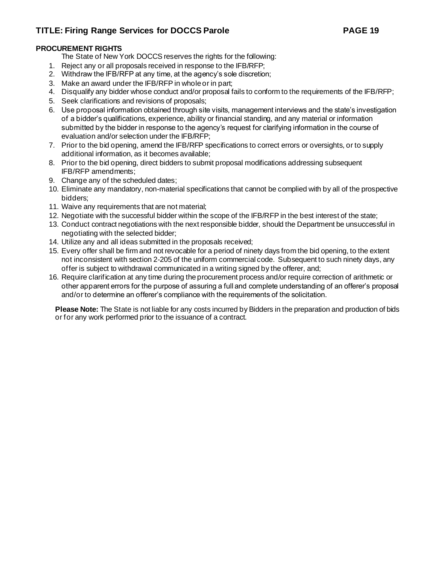### **PROCUREMENT RIGHTS**

The State of New York DOCCS reserves the rights for the following:

- 1. Reject any or all proposals received in response to the IFB/RFP;
- 2. Withdraw the IFB/RFP at any time, at the agency's sole discretion;
- 3. Make an award under the IFB/RFP in whole or in part;
- 4. Disqualify any bidder whose conduct and/or proposal fails to conform to the requirements of the IFB/RFP;
- 5. Seek clarifications and revisions of proposals;
- 6. Use proposal information obtained through site visits, management interviews and the state's investigation of a bidder's qualifications, experience, ability or financial standing, and any material or information submitted by the bidder in response to the agency's request for clarifying information in the course of evaluation and/or selection under the IFB/RFP;
- 7. Prior to the bid opening, amend the IFB/RFP specifications to correct errors or oversights, or to supply additional information, as it becomes available;
- 8. Prior to the bid opening, direct bidders to submit proposal modifications addressing subsequent IFB/RFP amendments;
- 9. Change any of the scheduled dates;
- 10. Eliminate any mandatory, non-material specifications that cannot be complied with by all of the prospective bidders;
- 11. Waive any requirements that are not material;
- 12. Negotiate with the successful bidder within the scope of the IFB/RFP in the best interest of the state;
- 13. Conduct contract negotiations with the next responsible bidder, should the Department be unsuccessful in negotiating with the selected bidder;
- 14. Utilize any and all ideas submitted in the proposals received;
- 15. Every offer shall be firm and not revocable for a period of ninety days from the bid opening, to the extent not inconsistent with section 2-205 of the uniform commercial code. Subsequent to such ninety days, any offer is subject to withdrawal communicated in a writing signed by the offerer, and;
- 16. Require clarification at any time during the procurement process and/or require correction of arithmetic or other apparent errors for the purpose of assuring a full and complete understanding of an offerer's proposal and/or to determine an offerer's compliance with the requirements of the solicitation.

**Please Note:** The State is not liable for any costs incurred by Bidders in the preparation and production of bids or for any work performed prior to the issuance of a contract.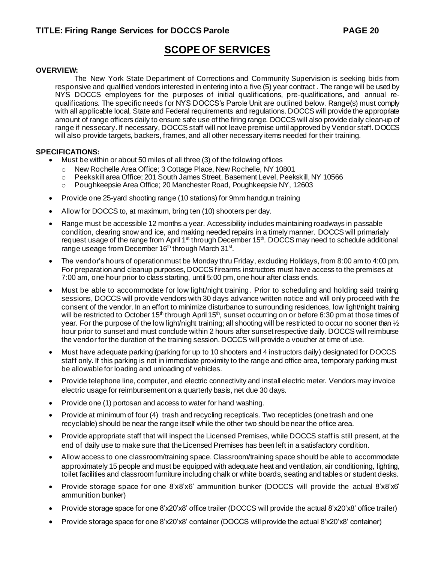## **SCOPE OF SERVICES**

#### **OVERVIEW:**

The New York State Department of Corrections and Community Supervision is seeking bids from responsive and qualified vendors interested in entering into a five (5) year contract . The range will be used by NYS DOCCS employees for the purposes of initial qualifications, pre-qualifications, and annual requalifications. The specific needs for NYS DOCCS's Parole Unit are outlined below. Range(s) must comply with all applicable local, State and Federal requirements and regulations. DOCCS will provide the appropriate amount of range officers daily to ensure safe use of the firing range. DOCCS will also provide daily clean-up of range if nessecary. If necessary, DOCCS staff will not leave premise until approved by Vendor staff. DOCCS will also provide targets, backers, frames, and all other necessary items needed for their training.

#### **SPECIFICATIONS:**

- Must be within or about 50 miles of all three (3) of the following offices
	- o New Rochelle Area Office; 3 Cottage Place, New Rochelle, NY 10801
	- o Peekskill area Office; 201 South James Street, Basement Level, Peekskill, NY 10566
	- o Poughkeepsie Area Office; 20 Manchester Road, Poughkeepsie NY, 12603
- Provide one 25-yard shooting range (10 stations) for 9mm handgun training
- Allow for DOCCS to, at maximum, bring ten (10) shooters per day.
- Range must be accessible 12 months a year. Accessibility includes maintaining roadways in passable condition, clearing snow and ice, and making needed repairs in a timely manner. DOCCS will primarialy request usage of the range from April  $1<sup>st</sup>$  through December  $15<sup>th</sup>$ . DOCCS may need to schedule additional range useage from December 16<sup>th</sup> through March 31<sup>st</sup>.
- The vendor's hours of operation must be Monday thru Friday, excluding Holidays, from 8:00 am to 4:00 pm. For preparation and cleanup purposes, DOCCS firearms instructors must have access to the premises at 7:00 am, one hour prior to class starting, until 5:00 pm, one hour after class ends.
- Must be able to accommodate for low light/night training. Prior to scheduling and holding said training sessions, DOCCS will provide vendors with 30 days advance written notice and will only proceed with the consent of the vendor. In an effort to minimize disturbance to surrounding residences, low light/night training will be restricted to October 15<sup>th</sup> through April 15<sup>th</sup>, sunset occurring on or before 6:30 pm at those times of year. For the purpose of the low light/night training; all shooting will be restricted to occur no sooner than ½ hour prior to sunset and must conclude within 2 hours after sunset respective daily. DOCCS will reimburse the vendor for the duration of the training session. DOCCS will provide a voucher at time of use.
- Must have adequate parking (parking for up to 10 shooters and 4 instructors daily) designated for DOCCS staff only. If this parking is not in immediate proximity to the range and office area, temporary parking must be allowable for loading and unloading of vehicles.
- Provide telephone line, computer, and electric connectivity and install electric meter. Vendors may invoice electric usage for reimbursement on a quarterly basis, net due 30 days.
- Provide one (1) portosan and access to water for hand washing.
- Provide at minimum of four (4) trash and recycling recepticals. Two recepticles (one trash and one recyclable) should be near the range itself while the other two should be near the office area.
- Provide appropriate staff that will inspect the Licensed Premises, while DOCCS staff is still present, at the end of daily use to make sure that the Licensed Premises has been left in a satisfactory condition.
- Allow access to one classroom/training space. Classroom/training space should be able to accommodate approximately 15 people and must be equipped with adequate heat and ventilation, air conditioning, lighting, toilet facilities and classroom furniture including chalk or white boards, seating and tables or student desks.
- Provide storage space for one 8'x8'x6' ammunition bunker (DOCCS will provide the actual 8'x8'x6' ammunition bunker)
- Provide storage space for one 8'x20'x8' office trailer (DOCCS will provide the actual 8'x20'x8' office trailer)
- Provide storage space for one 8'x20'x8' container (DOCCS will provide the actual 8'x20'x8' container)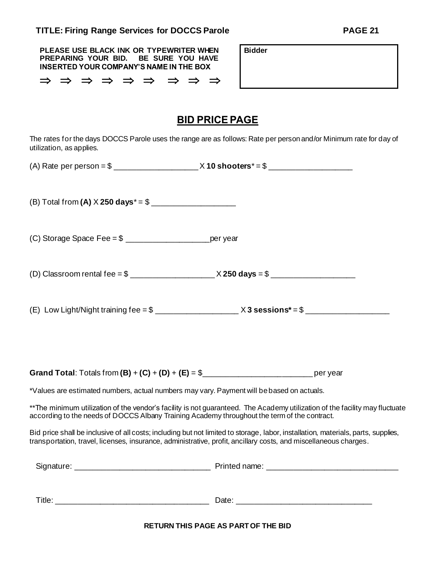| PLEASE USE BLACK INK OR TYPEWRITER WHEN<br>BE SURE YOU HAVE<br>PREPARING YOUR BID.<br><b>INSERTED YOUR COMPANY'S NAME IN THE BOX</b>                                                                                                                  | <b>Bidder</b>                                                                                                               |
|-------------------------------------------------------------------------------------------------------------------------------------------------------------------------------------------------------------------------------------------------------|-----------------------------------------------------------------------------------------------------------------------------|
| ⇒ ⇒ ⇒ ⇒ ⇒ ⇒ ⇒ ⇒                                                                                                                                                                                                                                       |                                                                                                                             |
|                                                                                                                                                                                                                                                       | <b>BID PRICE PAGE</b>                                                                                                       |
| The rates for the days DOCCS Parole uses the range are as follows: Rate per person and/or Minimum rate for day of<br>utilization, as applies.                                                                                                         |                                                                                                                             |
|                                                                                                                                                                                                                                                       |                                                                                                                             |
|                                                                                                                                                                                                                                                       |                                                                                                                             |
|                                                                                                                                                                                                                                                       |                                                                                                                             |
|                                                                                                                                                                                                                                                       |                                                                                                                             |
|                                                                                                                                                                                                                                                       |                                                                                                                             |
|                                                                                                                                                                                                                                                       |                                                                                                                             |
| *Values are estimated numbers, actual numbers may vary. Payment will be based on actuals.                                                                                                                                                             |                                                                                                                             |
| according to the needs of DOCCS Albany Training Academy throughout the term of the contract.                                                                                                                                                          | **The minimum utilization of the vendor's facility is not guaranteed. The Academy utilization of the facility may fluctuate |
| Bid price shall be inclusive of all costs; including but not limited to storage, labor, installation, materials, parts, supplies,<br>transportation, travel, licenses, insurance, administrative, profit, ancillary costs, and miscellaneous charges. |                                                                                                                             |
|                                                                                                                                                                                                                                                       |                                                                                                                             |
|                                                                                                                                                                                                                                                       |                                                                                                                             |

**RETURN THIS PAGE AS PART OF THE BID**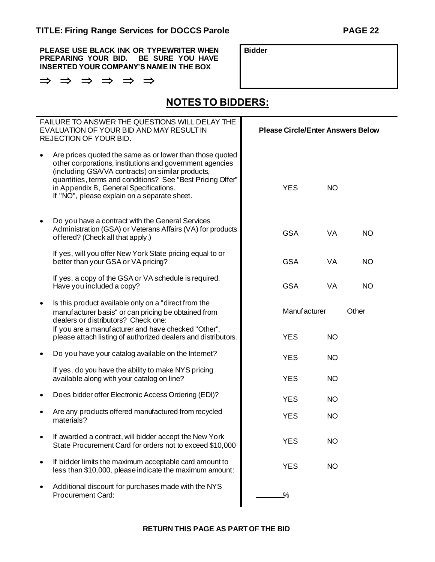**PLEASE USE BLACK INK OR TYPEWRITER WHEN PREPARING YOUR BID. BE SURE YOU HAVE INSERTED YOUR COMPANY'S NAME IN THE BOX**

 $\Rightarrow$   $\Rightarrow$   $\Rightarrow$   $\Rightarrow$   $\Rightarrow$ 

**Bidder**

**NOTES TO BIDDERS:**

| <b>FAILURE TO ANSWER THE QUESTIONS WILL DELAY THE</b><br>EVALUATION OF YOUR BID AND MAY RESULT IN<br>REJECTION OF YOUR BID. |                                                                                                                                                                                                                                                                                                                                   |               | <b>Please Circle/Enter Answers Below</b> |           |           |
|-----------------------------------------------------------------------------------------------------------------------------|-----------------------------------------------------------------------------------------------------------------------------------------------------------------------------------------------------------------------------------------------------------------------------------------------------------------------------------|---------------|------------------------------------------|-----------|-----------|
|                                                                                                                             | Are prices quoted the same as or lower than those quoted<br>other corporations, institutions and government agencies<br>(including GSA/VA contracts) on similar products,<br>quantities, terms and conditions? See "Best Pricing Offer"<br>in Appendix B, General Specifications.<br>If "NO", please explain on a separate sheet. | <b>YES</b>    |                                          | <b>NO</b> |           |
|                                                                                                                             | Do you have a contract with the General Services<br>Administration (GSA) or Veterans Affairs (VA) for products<br>offered? (Check all that apply.)                                                                                                                                                                                | <b>GSA</b>    |                                          | VA        | <b>NO</b> |
|                                                                                                                             | If yes, will you offer New York State pricing equal to or<br>better than your GSA or VA pricing?                                                                                                                                                                                                                                  | <b>GSA</b>    |                                          | <b>VA</b> | <b>NO</b> |
|                                                                                                                             | If yes, a copy of the GSA or VA schedule is required.<br>Have you included a copy?                                                                                                                                                                                                                                                | <b>GSA</b>    |                                          | VA        | <b>NO</b> |
|                                                                                                                             | Is this product available only on a "direct from the<br>manufacturer basis" or can pricing be obtained from<br>dealers or distributors? Check one:<br>If you are a manufacturer and have checked "Other",                                                                                                                         |               | <b>Manufacturer</b>                      |           | Other     |
|                                                                                                                             | please attach listing of authorized dealers and distributors.                                                                                                                                                                                                                                                                     | <b>YES</b>    |                                          | <b>NO</b> |           |
|                                                                                                                             | Do you have your catalog available on the Internet?                                                                                                                                                                                                                                                                               | <b>YES</b>    |                                          | <b>NO</b> |           |
|                                                                                                                             | If yes, do you have the ability to make NYS pricing<br>available along with your catalog on line?                                                                                                                                                                                                                                 | <b>YES</b>    |                                          | <b>NO</b> |           |
|                                                                                                                             | Does bidder offer Electronic Access Ordering (EDI)?                                                                                                                                                                                                                                                                               | <b>YES</b>    |                                          | <b>NO</b> |           |
|                                                                                                                             | Are any products offered manufactured from recycled<br>materials?                                                                                                                                                                                                                                                                 | <b>YES</b>    |                                          | <b>NO</b> |           |
|                                                                                                                             | If awarded a contract, will bidder accept the New York<br>State Procurement Card for orders not to exceed \$10,000                                                                                                                                                                                                                | <b>YES</b>    |                                          | <b>NO</b> |           |
|                                                                                                                             | If bidder limits the maximum acceptable card amount to<br>less than \$10,000, please indicate the maximum amount:                                                                                                                                                                                                                 | <b>YES</b>    |                                          | <b>NO</b> |           |
|                                                                                                                             | Additional discount for purchases made with the NYS<br><b>Procurement Card:</b>                                                                                                                                                                                                                                                   | $\frac{0}{2}$ |                                          |           |           |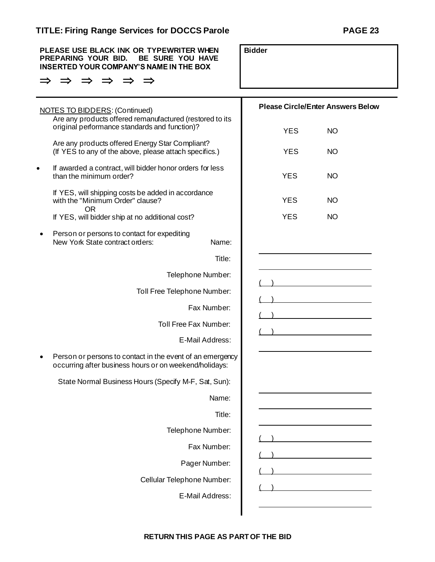|           | <b>TITLE: Firing Range Services for DOCCS Parole</b>                                                                                 |                                          | <b>PAGE 23</b> |
|-----------|--------------------------------------------------------------------------------------------------------------------------------------|------------------------------------------|----------------|
|           | PLEASE USE BLACK INK OR TYPEWRITER WHEN<br>PREPARING YOUR BID.<br>BE SURE YOU HAVE<br><b>INSERTED YOUR COMPANY'S NAME IN THE BOX</b> | <b>Bidder</b>                            |                |
|           |                                                                                                                                      |                                          |                |
|           | <b>NOTES TO BIDDERS: (Continued)</b>                                                                                                 | <b>Please Circle/Enter Answers Below</b> |                |
|           | Are any products offered remanufactured (restored to its<br>original performance standards and function)?                            | <b>YES</b>                               | <b>NO</b>      |
|           | Are any products offered Energy Star Compliant?<br>(If YES to any of the above, please attach specifics.)                            | <b>YES</b>                               | <b>NO</b>      |
| $\bullet$ | If awarded a contract, will bidder honor orders for less<br>than the minimum order?                                                  | <b>YES</b>                               | <b>NO</b>      |
|           | If YES, will shipping costs be added in accordance<br>with the "Minimum Order" clause?                                               | <b>YES</b>                               | <b>NO</b>      |
|           | <b>OR</b><br>If YES, will bidder ship at no additional cost?                                                                         | <b>YES</b>                               | <b>NO</b>      |
|           | Person or persons to contact for expediting<br>New York State contract orders:<br>Name:                                              |                                          |                |
|           | Title:                                                                                                                               |                                          |                |
|           | Telephone Number:                                                                                                                    |                                          |                |
|           | Toll Free Telephone Number:                                                                                                          |                                          |                |
|           | Fax Number:                                                                                                                          |                                          |                |
|           | Toll Free Fax Number:                                                                                                                |                                          |                |
|           | E-Mail Address:                                                                                                                      |                                          |                |
|           | Person or persons to contact in the event of an emergency<br>occurring after business hours or on weekend/holidays:                  |                                          |                |
|           | State Normal Business Hours (Specify M-F, Sat, Sun):                                                                                 |                                          |                |
|           | Name:                                                                                                                                |                                          |                |
|           | Title:                                                                                                                               |                                          |                |
|           | Telephone Number:                                                                                                                    |                                          |                |
|           | Fax Number:                                                                                                                          |                                          |                |
|           | Pager Number:                                                                                                                        |                                          |                |
|           | Cellular Telephone Number:                                                                                                           |                                          |                |
|           | E-Mail Address:                                                                                                                      |                                          |                |

**RETURN THIS PAGE AS PART OF THE BID**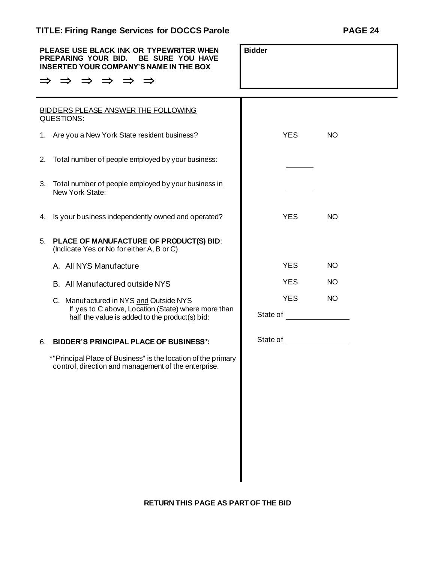| PLEASE USE BLACK INK OR TYPEWRITER WHEN<br>PREPARING YOUR BID.<br>BE SURE YOU HAVE<br><b>INSERTED YOUR COMPANY'S NAME IN THE BOX</b><br>$\Rightarrow$<br>$\Rightarrow$<br>$\Rightarrow$ | <b>Bidder</b>             |           |
|-----------------------------------------------------------------------------------------------------------------------------------------------------------------------------------------|---------------------------|-----------|
| <b>BIDDERS PLEASE ANSWER THE FOLLOWING</b>                                                                                                                                              |                           |           |
| QUESTIONS:                                                                                                                                                                              |                           |           |
| 1. Are you a New York State resident business?                                                                                                                                          | <b>YES</b>                | <b>NO</b> |
| Total number of people employed by your business:<br>2.                                                                                                                                 |                           |           |
| Total number of people employed by your business in<br>3.<br>New York State:                                                                                                            |                           |           |
| Is your business independently owned and operated?<br>4.                                                                                                                                | <b>YES</b>                | <b>NO</b> |
| PLACE OF MANUFACTURE OF PRODUCT(S) BID:<br>5.<br>(Indicate Yes or No for either A, B or C)                                                                                              |                           |           |
| A. All NYS Manufacture                                                                                                                                                                  | <b>YES</b>                | <b>NO</b> |
| B. All Manufactured outside NYS                                                                                                                                                         | <b>YES</b>                | <b>NO</b> |
| C. Manuf actured in NYS and Outside NYS<br>If yes to C above, Location (State) where more than                                                                                          | <b>YES</b>                | <b>NO</b> |
| half the value is added to the product(s) bid:                                                                                                                                          | State of                  |           |
| <b>BIDDER'S PRINCIPAL PLACE OF BUSINESS*:</b><br>6.                                                                                                                                     | State of ________________ |           |
| *"Principal Place of Business" is the location of the primary<br>control, direction and management of the enterprise.                                                                   |                           |           |
|                                                                                                                                                                                         |                           |           |
|                                                                                                                                                                                         |                           |           |
|                                                                                                                                                                                         |                           |           |
|                                                                                                                                                                                         |                           |           |
|                                                                                                                                                                                         |                           |           |
|                                                                                                                                                                                         |                           |           |
|                                                                                                                                                                                         |                           |           |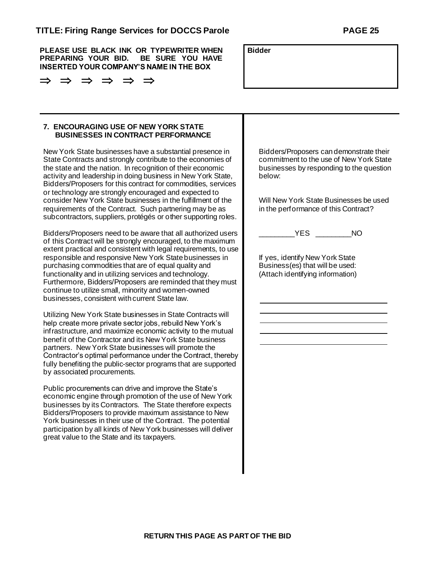**PLEASE USE BLACK INK OR TYPEWRITER WHEN PREPARING YOUR BID. BE SURE YOU HAVE INSERTED YOUR COMPANY'S NAME IN THE BOX**

**Bidder**

| <b>7. ENCOURAGING USE OF NEW YORK STATE</b> |
|---------------------------------------------|
| <b>BUSINESSES IN CONTRACT PERFORMANCE</b>   |

New York State businesses have a substantial presence in State Contracts and strongly contribute to the economies of the state and the nation. In recognition of their economic activity and leadership in doing business in New York State, Bidders/Proposers for this contract for commodities, services or technology are strongly encouraged and expected to consider New York State businesses in the fulfillment of the requirements of the Contract. Such partnering may be as subcontractors, suppliers, protégés or other supporting roles.

Bidders/Proposers need to be aware that all authorized users of this Contract will be strongly encouraged, to the maximum extent practical and consistent with legal requirements, to use responsible and responsive New York State businesses in purchasing commodities that are of equal quality and functionality and in utilizing services and technology. Furthermore, Bidders/Proposers are reminded that they must continue to utilize small, minority and women-owned businesses, consistent with current State law.

Utilizing New York State businesses in State Contracts will help create more private sector jobs, rebuild New York's infrastructure, and maximize economic activity to the mutual benefit of the Contractor and its New York State business partners. New York State businesses will promote the Contractor's optimal performance under the Contract, thereby fully benefiting the public-sector programs that are supported by associated procurements.

Public procurements can drive and improve the State's economic engine through promotion of the use of New York businesses by its Contractors. The State therefore expects Bidders/Proposers to provide maximum assistance to New York businesses in their use of the Contract. The potential participation by all kinds of New York businesses will deliver great value to the State and its taxpayers.

Bidders/Proposers can demonstrate their commitment to the use of New York State businesses by responding to the question below:

Will New York State Businesses be used in the performance of this Contract?

\_\_\_\_\_\_\_\_\_YES \_\_\_\_\_\_\_\_\_NO

If yes, identify New York State Business(es) that will be used: (Attach identifying information)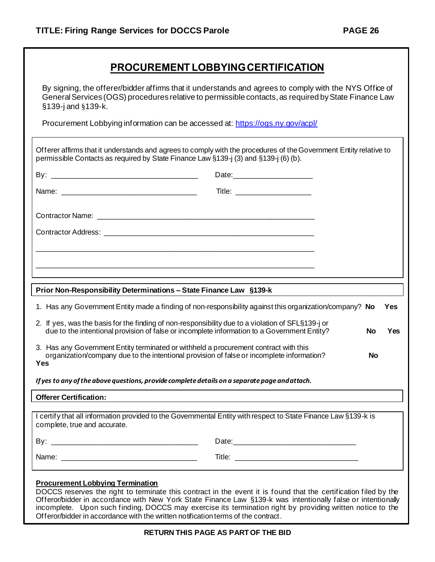## **PROCUREMENT LOBBYING CERTIFICATION**

By signing, the offerer/bidder affirms that it understands and agrees to comply with the NYS Office of General Services (OGS) procedures relative to permissible contacts, as required by State Finance Law §139-j and §139-k.

Procurement Lobbying information can be accessed at: <https://ogs.ny.gov/acpl/>

| Offerer affirms that it understands and agrees to comply with the procedures of the Government Entity relative to<br>permissible Contacts as required by State Finance Law §139-j (3) and §139-j (6) (b). |                                                                                                                                                                                                                                |           |     |
|-----------------------------------------------------------------------------------------------------------------------------------------------------------------------------------------------------------|--------------------------------------------------------------------------------------------------------------------------------------------------------------------------------------------------------------------------------|-----------|-----|
|                                                                                                                                                                                                           |                                                                                                                                                                                                                                |           |     |
|                                                                                                                                                                                                           |                                                                                                                                                                                                                                |           |     |
|                                                                                                                                                                                                           |                                                                                                                                                                                                                                |           |     |
|                                                                                                                                                                                                           |                                                                                                                                                                                                                                |           |     |
|                                                                                                                                                                                                           |                                                                                                                                                                                                                                |           |     |
|                                                                                                                                                                                                           |                                                                                                                                                                                                                                |           |     |
| Prior Non-Responsibility Determinations - State Finance Law §139-k                                                                                                                                        |                                                                                                                                                                                                                                |           |     |
| 1. Has any Government Entity made a finding of non-responsibility against this organization/company? No                                                                                                   |                                                                                                                                                                                                                                |           | Yes |
| 2. If yes, was the basis for the finding of non-responsibility due to a violation of SFL§139-j or<br>due to the intentional provision of false or incomplete information to a Government Entity?          |                                                                                                                                                                                                                                | <b>No</b> | Yes |
| 3. Has any Government Entity terminated or withheld a procurement contract with this<br>organization/company due to the intentional provision of false or incomplete information?<br>Yes                  |                                                                                                                                                                                                                                | <b>No</b> |     |
| If yes to any of the above questions, provide complete details on a separate page and attach.                                                                                                             |                                                                                                                                                                                                                                |           |     |
| <b>Offerer Certification:</b>                                                                                                                                                                             |                                                                                                                                                                                                                                |           |     |
| I certify that all information provided to the Governmental Entity with respect to State Finance Law §139-k is<br>complete, true and accurate.                                                            |                                                                                                                                                                                                                                |           |     |
|                                                                                                                                                                                                           | Date: Note: 2008 and 2008 and 2008 and 2008 and 2008 and 2008 and 2008 and 2008 and 2008 and 2008 and 2008 and 2008 and 2008 and 2008 and 2008 and 2008 and 2008 and 2008 and 2008 and 2008 and 2008 and 2008 and 2008 and 200 |           |     |
|                                                                                                                                                                                                           |                                                                                                                                                                                                                                |           |     |

### **Procurement Lobbying Termination**

DOCCS reserves the right to terminate this contract in the event it is found that the certification filed by the Offeror/bidder in accordance with New York State Finance Law §139-k was intentionally false or intentionally incomplete. Upon such finding, DOCCS may exercise its termination right by providing written notice to the Offeror/bidder in accordance with the written notification terms of the contract.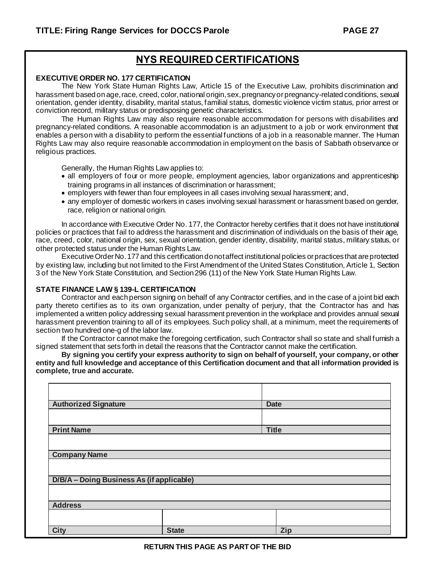## **NYS REQUIRED CERTIFICATIONS**

#### **EXECUTIVE ORDER NO. 177 CERTIFICATION**

The New York State Human Rights Law, Article 15 of the Executive Law, prohibits discrimination and harassment based on age, race, creed, color, national origin, sex, pregnancy or pregnancy-related conditions, sexual orientation, gender identity, disability, marital status, familial status, domestic violence victim status, prior arrest or conviction record, military status or predisposing genetic characteristics.

The Human Rights Law may also require reasonable accommodation for persons with disabilities and pregnancy-related conditions. A reasonable accommodation is an adjustment to a job or work environment that enables a person with a disability to perform the essential functions of a job in a reasonable manner. The Human Rights Law may also require reasonable accommodation in employment on the basis of Sabbath observance or religious practices.

Generally, the Human Rights Law applies to:

- all employers of four or more people, employment agencies, labor organizations and apprenticeship training programs in all instances of discrimination or harassment;
- employers with fewer than four employees in all cases involving sexual harassment; and,
- any employer of domestic workers in cases involving sexual harassment or harassment based on gender, race, religion or national origin.

In accordance with Executive Order No. 177, the Contractor hereby certifies that it does not have institutional policies or practices that fail to address the harassment and discrimination of individuals on the basis of their age, race, creed, color, national origin, sex, sexual orientation, gender identity, disability, marital status, military status, or other protected status under the Human Rights Law.

Executive Order No. 177 and this certification do not affect institutional policies or practices that are protected by existing law, including but not limited to the First Amendment of the United States Constitution, Article 1, Section 3 of the New York State Constitution, and Section 296 (11) of the New York State Human Rights Law.

#### **STATE FINANCE LAW § 139-L CERTIFICATION**

Contractor and each person signing on behalf of any Contractor certifies, and in the case of a joint bid each party thereto certifies as to its own organization, under penalty of perjury, that the Contractor has and has implemented a written policy addressing sexual harassment prevention in the workplace and provides annual sexual harassment prevention training to all of its employees. Such policy shall, at a minimum, meet the requirements of section two hundred one-g of the labor law.

If the Contractor cannot make the foregoing certification, such Contractor shall so state and shall furnish a signed statement that sets forth in detail the reasons that the Contractor cannot make the certification.

**By signing you certify your express authority to sign on behalf of yourself, your company, or other entity and full knowledge and acceptance of this Certification document and that all information provided is complete, true and accurate.**

| <b>Authorized Signature</b>               |              | <b>Date</b> |  |  |
|-------------------------------------------|--------------|-------------|--|--|
|                                           |              |             |  |  |
| <b>Print Name</b><br><b>Title</b>         |              |             |  |  |
|                                           |              |             |  |  |
| <b>Company Name</b>                       |              |             |  |  |
|                                           |              |             |  |  |
| D/B/A - Doing Business As (if applicable) |              |             |  |  |
|                                           |              |             |  |  |
| <b>Address</b>                            |              |             |  |  |
|                                           |              |             |  |  |
| <b>City</b>                               | <b>State</b> | Zip         |  |  |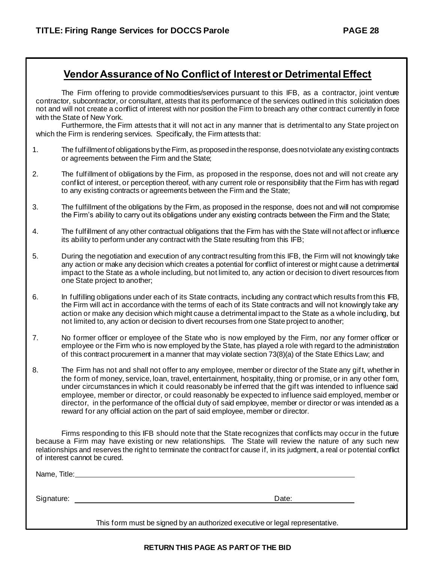### **Vendor Assurance of No Conflict of Interest or Detrimental Effect**

The Firm offering to provide commodities/services pursuant to this IFB, as a contractor, joint venture contractor, subcontractor, or consultant, attests that its performance of the services outlined in this solicitation does not and will not create a conflict of interest with nor position the Firm to breach any other contract currently in force with the State of New York.

Furthermore, the Firm attests that it will not act in any manner that is detrimental to any State project on which the Firm is rendering services. Specifically, the Firm attests that:

- 1. The fulfillment of obligations by the Firm, as proposed in the response, does not violate any existing contracts or agreements between the Firm and the State;
- 2. The fulfillment of obligations by the Firm, as proposed in the response, does not and will not create any conflict of interest, or perception thereof, with any current role or responsibility that the Firm has with regard to any existing contracts or agreements between the Firm and the State;
- 3. The fulfillment of the obligations by the Firm, as proposed in the response, does not and will not compromise the Firm's ability to carry out its obligations under any existing contracts between the Firm and the State;
- 4. The fulfillment of any other contractual obligations that the Firm has with the State will not affect or influence its ability to perform under any contract with the State resulting from this IFB;
- 5. During the negotiation and execution of any contract resulting from this IFB, the Firm will not knowingly take any action or make any decision which creates a potential for conflict of interest or might cause a detrimental impact to the State as a whole including, but not limited to, any action or decision to divert resources from one State project to another;
- 6. In fulfilling obligations under each of its State contracts, including any contract which results from this IFB, the Firm will act in accordance with the terms of each of its State contracts and will not knowingly take any action or make any decision which might cause a detrimental impact to the State as a whole including, but not limited to, any action or decision to divert recourses from one State project to another;
- 7. No former officer or employee of the State who is now employed by the Firm, nor any former officer or employee or the Firm who is now employed by the State, has played a role with regard to the administration of this contract procurement in a manner that may violate section 73(8)(a) of the State Ethics Law; and
- 8. The Firm has not and shall not offer to any employee, member or director of the State any gift, whether in the form of money, service, loan, travel, entertainment, hospitality, thing or promise, or in any other form, under circumstances in which it could reasonably be inferred that the gift was intended to influence said employee, member or director, or could reasonably be expected to influence said employed, member or director, in the performance of the official duty of said employee, member or director or was intended as a reward for any official action on the part of said employee, member or director.

Firms responding to this IFB should note that the State recognizes that conflicts may occur in the future because a Firm may have existing or new relationships. The State will review the nature of any such new relationships and reserves the right to terminate the contract for cause if, in its judgment, a real or potential conflict of interest cannot be cured.

Name, Title: We are a series of the series of the series of the series of the series of the series of the series of the series of the series of the series of the series of the series of the series of the series of the seri

Signature: Date: Development and the state of the state of the state of the Date:

This form must be signed by an authorized executive or legal representative.